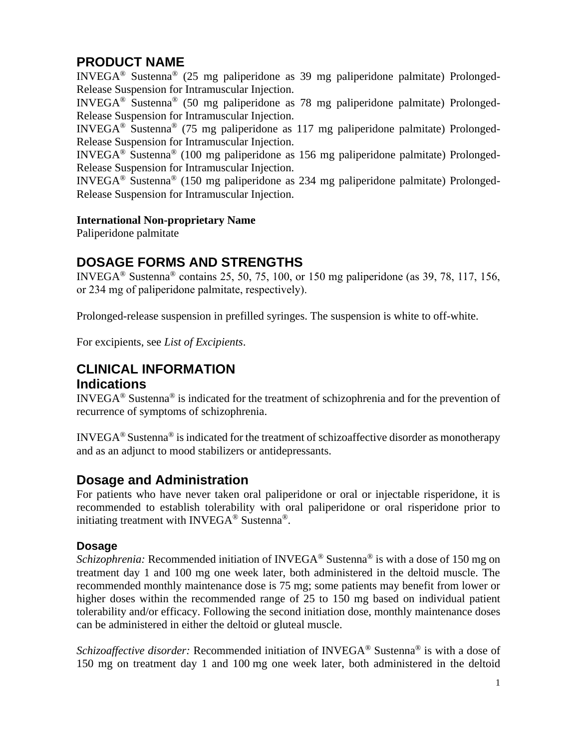# **PRODUCT NAME**

INVEGA® Sustenna® (25 mg paliperidone as 39 mg paliperidone palmitate) Prolonged-Release Suspension for Intramuscular Injection.

INVEGA® Sustenna® (50 mg paliperidone as 78 mg paliperidone palmitate) Prolonged-Release Suspension for Intramuscular Injection.

INVEGA® Sustenna ® (75 mg paliperidone as 117 mg paliperidone palmitate) Prolonged-Release Suspension for Intramuscular Injection.

INVEGA® Sustenna® (100 mg paliperidone as 156 mg paliperidone palmitate) Prolonged-Release Suspension for Intramuscular Injection.

INVEGA® Sustenna ® (150 mg paliperidone as 234 mg paliperidone palmitate) Prolonged-Release Suspension for Intramuscular Injection.

### **International Non-proprietary Name**

Paliperidone palmitate

# **DOSAGE FORMS AND STRENGTHS**

INVEGA® Sustenna® contains 25, 50, 75, 100, or 150 mg paliperidone (as 39, 78, 117, 156, or 234 mg of paliperidone palmitate, respectively).

Prolonged-release suspension in prefilled syringes. The suspension is white to off-white.

For excipients, see *List of Excipients*.

## **CLINICAL INFORMATION Indications**

INVEGA® Sustenna® is indicated for the treatment of schizophrenia and for the prevention of recurrence of symptoms of schizophrenia.

INVEGA® Sustenna® is indicated for the treatment of schizoaffective disorder as monotherapy and as an adjunct to mood stabilizers or antidepressants.

# **Dosage and Administration**

For patients who have never taken oral paliperidone or oral or injectable risperidone, it is recommended to establish tolerability with oral paliperidone or oral risperidone prior to initiating treatment with INVEGA® Sustenna®.

## **Dosage**

*Schizophrenia:* Recommended initiation of INVEGA® Sustenna® is with a dose of 150 mg on treatment day 1 and 100 mg one week later, both administered in the deltoid muscle. The recommended monthly maintenance dose is 75 mg; some patients may benefit from lower or higher doses within the recommended range of 25 to 150 mg based on individual patient tolerability and/or efficacy. Following the second initiation dose, monthly maintenance doses can be administered in either the deltoid or gluteal muscle.

*Schizoaffective disorder:* Recommended initiation of INVEGA<sup>®</sup> Sustenna<sup>®</sup> is with a dose of 150 mg on treatment day 1 and 100 mg one week later, both administered in the deltoid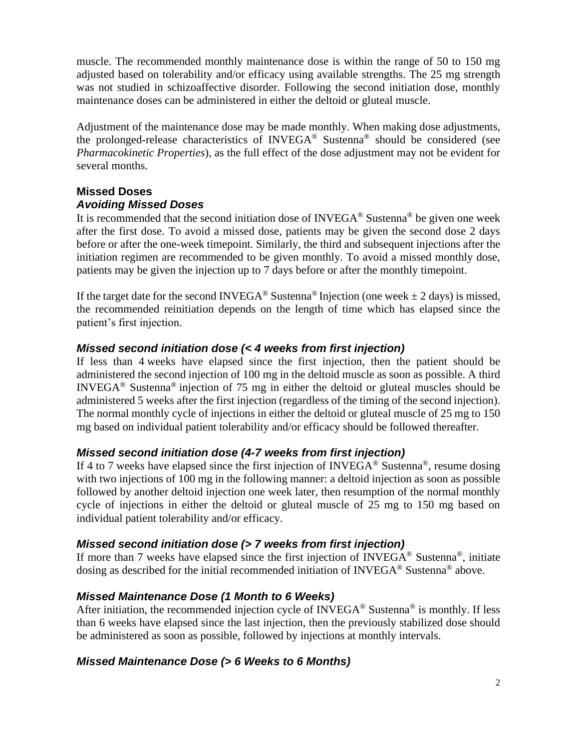muscle. The recommended monthly maintenance dose is within the range of 50 to 150 mg adjusted based on tolerability and/or efficacy using available strengths. The 25 mg strength was not studied in schizoaffective disorder. Following the second initiation dose, monthly maintenance doses can be administered in either the deltoid or gluteal muscle.

Adjustment of the maintenance dose may be made monthly. When making dose adjustments, the prolonged-release characteristics of INVEGA® Sustenna® should be considered (see *Pharmacokinetic Properties*), as the full effect of the dose adjustment may not be evident for several months.

## **Missed Doses** *Avoiding Missed Doses*

It is recommended that the second initiation dose of  $INVEGA^{\circledast}$  Sustenna<sup>®</sup> be given one week after the first dose. To avoid a missed dose, patients may be given the second dose 2 days before or after the one-week timepoint. Similarly, the third and subsequent injections after the initiation regimen are recommended to be given monthly. To avoid a missed monthly dose, patients may be given the injection up to 7 days before or after the monthly timepoint.

If the target date for the second INVEGA<sup>®</sup> Sustenna<sup>®</sup> Injection (one week  $\pm$  2 days) is missed, the recommended reinitiation depends on the length of time which has elapsed since the patient's first injection.

### *Missed second initiation dose (< 4 weeks from first injection)*

If less than 4 weeks have elapsed since the first injection, then the patient should be administered the second injection of 100 mg in the deltoid muscle as soon as possible. A third INVEGA<sup>®</sup> Sustenna<sup>®</sup> injection of 75 mg in either the deltoid or gluteal muscles should be administered 5 weeks after the first injection (regardless of the timing of the second injection). The normal monthly cycle of injections in either the deltoid or gluteal muscle of 25 mg to 150 mg based on individual patient tolerability and/or efficacy should be followed thereafter.

### *Missed second initiation dose (4-7 weeks from first injection)*

If 4 to 7 weeks have elapsed since the first injection of INVEGA<sup>®</sup> Sustenna<sup>®</sup>, resume dosing with two injections of 100 mg in the following manner: a deltoid injection as soon as possible followed by another deltoid injection one week later, then resumption of the normal monthly cycle of injections in either the deltoid or gluteal muscle of 25 mg to 150 mg based on individual patient tolerability and/or efficacy.

### *Missed second initiation dose (> 7 weeks from first injection)*

If more than 7 weeks have elapsed since the first injection of  $INVEG\AA^{\circledast}$  Sustenna<sup>®</sup>, initiate dosing as described for the initial recommended initiation of INVEGA® Sustenna® above.

### *Missed Maintenance Dose (1 Month to 6 Weeks)*

After initiation, the recommended injection cycle of INVEGA<sup>®</sup> Sustenna<sup>®</sup> is monthly. If less than 6 weeks have elapsed since the last injection, then the previously stabilized dose should be administered as soon as possible, followed by injections at monthly intervals.

### *Missed Maintenance Dose (> 6 Weeks to 6 Months)*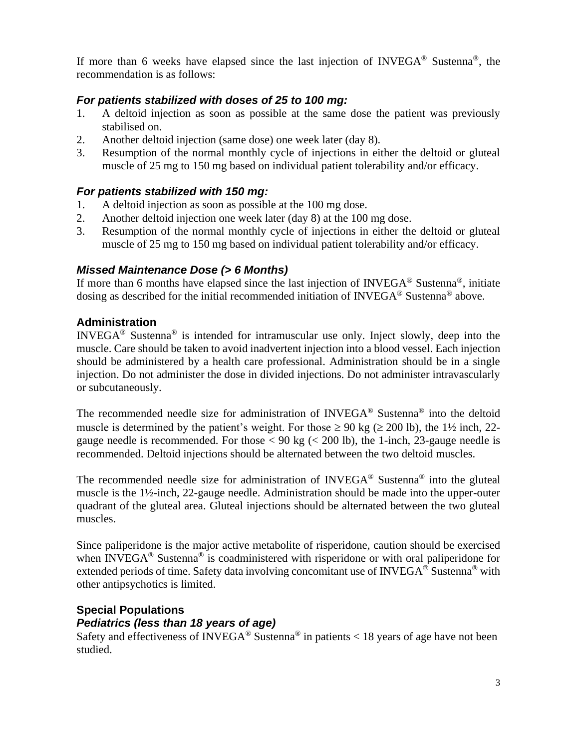If more than 6 weeks have elapsed since the last injection of  $INVEGA^{\circledast}$  Sustenna<sup>®</sup>, the recommendation is as follows:

### *For patients stabilized with doses of 25 to 100 mg:*

- 1. A deltoid injection as soon as possible at the same dose the patient was previously stabilised on.
- 2. Another deltoid injection (same dose) one week later (day 8).
- 3. Resumption of the normal monthly cycle of injections in either the deltoid or gluteal muscle of 25 mg to 150 mg based on individual patient tolerability and/or efficacy.

### *For patients stabilized with 150 mg:*

- 1. A deltoid injection as soon as possible at the 100 mg dose.
- 2. Another deltoid injection one week later (day 8) at the 100 mg dose.
- 3. Resumption of the normal monthly cycle of injections in either the deltoid or gluteal muscle of 25 mg to 150 mg based on individual patient tolerability and/or efficacy.

### *Missed Maintenance Dose (> 6 Months)*

If more than 6 months have elapsed since the last injection of INVEGA® Sustenna®, initiate dosing as described for the initial recommended initiation of INVEGA® Sustenna® above.

### **Administration**

INVEGA<sup>®</sup> Sustenna<sup>®</sup> is intended for intramuscular use only. Inject slowly, deep into the muscle. Care should be taken to avoid inadvertent injection into a blood vessel. Each injection should be administered by a health care professional. Administration should be in a single injection. Do not administer the dose in divided injections. Do not administer intravascularly or subcutaneously.

The recommended needle size for administration of INVEGA® Sustenna® into the deltoid muscle is determined by the patient's weight. For those  $\geq 90$  kg ( $\geq 200$  lb), the 1½ inch, 22gauge needle is recommended. For those  $< 90 \text{ kg}$  ( $< 200 \text{ lb}$ ), the 1-inch, 23-gauge needle is recommended. Deltoid injections should be alternated between the two deltoid muscles.

The recommended needle size for administration of  $INVEGA^{\circledast}$  Sustenna<sup>®</sup> into the gluteal muscle is the 1½-inch, 22-gauge needle. Administration should be made into the upper-outer quadrant of the gluteal area. Gluteal injections should be alternated between the two gluteal muscles.

Since paliperidone is the major active metabolite of risperidone, caution should be exercised when INVEGA<sup>®</sup> Sustenna<sup>®</sup> is coadministered with risperidone or with oral paliperidone for extended periods of time. Safety data involving concomitant use of INVEGA<sup>®</sup> Sustenna<sup>®</sup> with other antipsychotics is limited.

### **Special Populations** *Pediatrics (less than 18 years of age)*

Safety and effectiveness of INVEGA<sup>®</sup> Sustenna<sup>®</sup> in patients < 18 years of age have not been studied.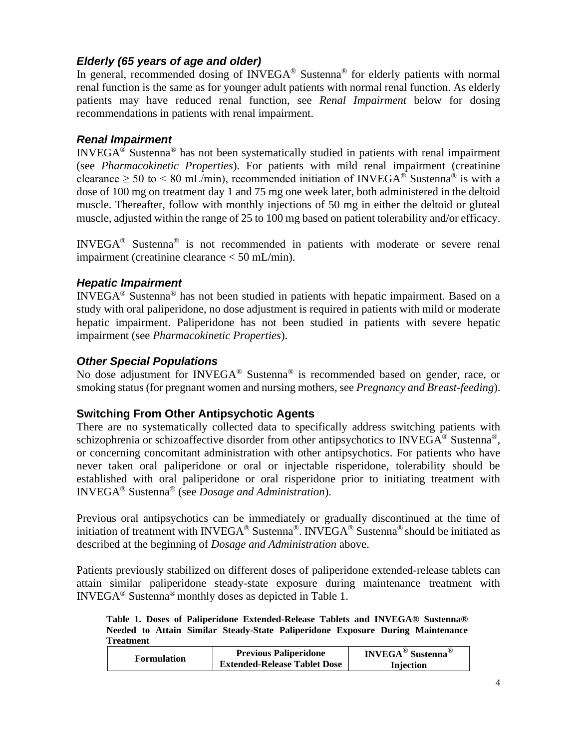## *Elderly (65 years of age and older)*

In general, recommended dosing of INVEGA® Sustenna® for elderly patients with normal renal function is the same as for younger adult patients with normal renal function. As elderly patients may have reduced renal function, see *Renal Impairment* below for dosing recommendations in patients with renal impairment.

## *Renal Impairment*

 $INVEGA^{\circledast}$  Sustenna<sup>®</sup> has not been systematically studied in patients with renal impairment (see *Pharmacokinetic Properties*). For patients with mild renal impairment (creatinine clearance  $> 50$  to  $< 80$  mL/min), recommended initiation of INVEGA<sup>®</sup> Sustenna<sup>®</sup> is with a dose of 100 mg on treatment day 1 and 75 mg one week later, both administered in the deltoid muscle. Thereafter, follow with monthly injections of 50 mg in either the deltoid or gluteal muscle, adjusted within the range of 25 to 100 mg based on patient tolerability and/or efficacy.

INVEGA® Sustenna® is not recommended in patients with moderate or severe renal impairment (creatinine clearance < 50 mL/min).

### *Hepatic Impairment*

INVEGA<sup>®</sup> Sustenna<sup>®</sup> has not been studied in patients with hepatic impairment. Based on a study with oral paliperidone, no dose adjustment is required in patients with mild or moderate hepatic impairment. Paliperidone has not been studied in patients with severe hepatic impairment (see *Pharmacokinetic Properties*).

### *Other Special Populations*

No dose adjustment for INVEGA® Sustenna® is recommended based on gender, race, or smoking status (for pregnant women and nursing mothers, see *Pregnancy and Breast-feeding*).

## **Switching From Other Antipsychotic Agents**

There are no systematically collected data to specifically address switching patients with schizophrenia or schizoaffective disorder from other antipsychotics to INVEGA® Sustenna®, or concerning concomitant administration with other antipsychotics. For patients who have never taken oral paliperidone or oral or injectable risperidone, tolerability should be established with oral paliperidone or oral risperidone prior to initiating treatment with INVEGA® Sustenna® (see *Dosage and Administration*).

Previous oral antipsychotics can be immediately or gradually discontinued at the time of initiation of treatment with INVEGA® Sustenna®. INVEGA® Sustenna® should be initiated as described at the beginning of *Dosage and Administration* above.

Patients previously stabilized on different doses of paliperidone extended-release tablets can attain similar paliperidone steady-state exposure during maintenance treatment with INVEGA® Sustenna® monthly doses as depicted in Table 1.

**Table 1. Doses of Paliperidone Extended-Release Tablets and INVEGA® Sustenna® Needed to Attain Similar Steady-State Paliperidone Exposure During Maintenance Treatment**

| <b>Formulation</b> | <b>Previous Paliperidone</b>        | INVEGA <sup>®</sup> Sustenna <sup>®</sup> |  |  |
|--------------------|-------------------------------------|-------------------------------------------|--|--|
|                    | <b>Extended-Release Tablet Dose</b> | <b>Injection</b>                          |  |  |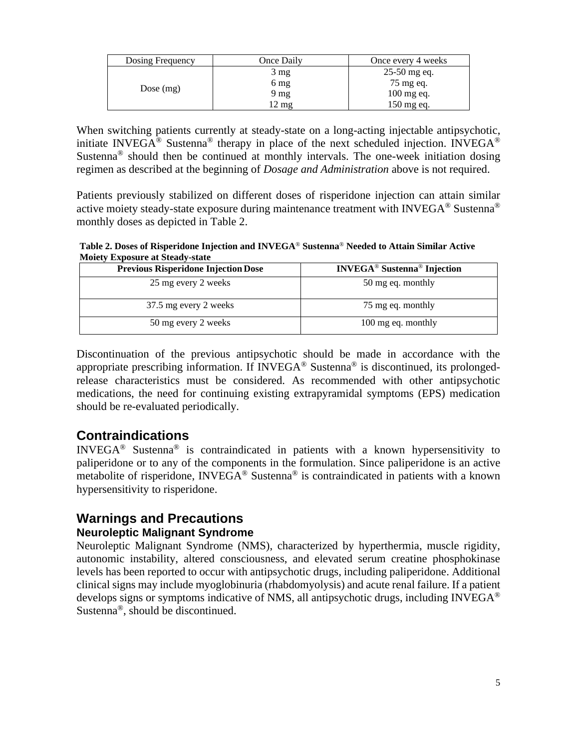| Dosing Frequency | Once Daily | Once every 4 weeks |  |  |
|------------------|------------|--------------------|--|--|
| Dose $(mg)$      | 3 mg       | $25-50$ mg eq.     |  |  |
|                  | 6 mg       | 75 mg eq.          |  |  |
|                  | 9 mg       | $100$ mg eq.       |  |  |
|                  | 12 mg      | 150 mg eq.         |  |  |

When switching patients currently at steady-state on a long-acting injectable antipsychotic, initiate INVEGA<sup>®</sup> Sustenna<sup>®</sup> therapy in place of the next scheduled injection. INVEGA<sup>®</sup> Sustenna<sup>®</sup> should then be continued at monthly intervals. The one-week initiation dosing regimen as described at the beginning of *Dosage and Administration* above is not required.

Patients previously stabilized on different doses of risperidone injection can attain similar active moiety steady-state exposure during maintenance treatment with INVEGA<sup>®</sup> Sustenna<sup>®</sup> monthly doses as depicted in Table 2.

**Table 2. Doses of Risperidone Injection and INVEGA**® **Sustenna**® **Needed to Attain Similar Active Moiety Exposure at Steady-state**

| <b>Previous Risperidone Injection Dose</b> | <b>INVEGA<sup>®</sup></b> Sustenna <sup>®</sup> Injection |  |  |
|--------------------------------------------|-----------------------------------------------------------|--|--|
| 25 mg every 2 weeks                        | 50 mg eq. monthly                                         |  |  |
| 37.5 mg every 2 weeks                      | 75 mg eq. monthly                                         |  |  |
| 50 mg every 2 weeks                        | 100 mg eq. monthly                                        |  |  |

Discontinuation of the previous antipsychotic should be made in accordance with the appropriate prescribing information. If INVEGA® Sustenna® is discontinued, its prolongedrelease characteristics must be considered. As recommended with other antipsychotic medications, the need for continuing existing extrapyramidal symptoms (EPS) medication should be re-evaluated periodically.

# **Contraindications**

INVEGA® Sustenna® is contraindicated in patients with a known hypersensitivity to paliperidone or to any of the components in the formulation. Since paliperidone is an active metabolite of risperidone, INVEGA<sup>®</sup> Sustenna<sup>®</sup> is contraindicated in patients with a known hypersensitivity to risperidone.

## **Warnings and Precautions Neuroleptic Malignant Syndrome**

Neuroleptic Malignant Syndrome (NMS), characterized by hyperthermia, muscle rigidity, autonomic instability, altered consciousness, and elevated serum creatine phosphokinase levels has been reported to occur with antipsychotic drugs, including paliperidone. Additional clinical signs may include myoglobinuria (rhabdomyolysis) and acute renal failure. If a patient develops signs or symptoms indicative of NMS, all antipsychotic drugs, including INVEGA® Sustenna®, should be discontinued.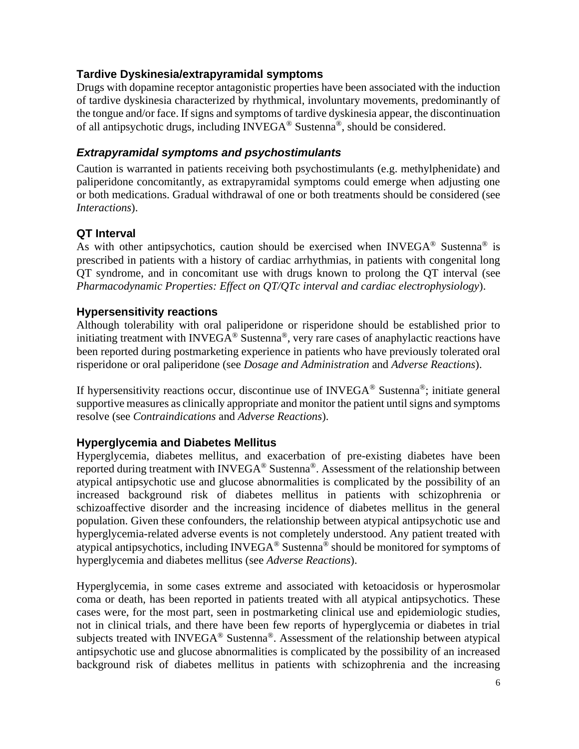## **Tardive Dyskinesia/extrapyramidal symptoms**

Drugs with dopamine receptor antagonistic properties have been associated with the induction of tardive dyskinesia characterized by rhythmical, involuntary movements, predominantly of the tongue and/or face. If signs and symptoms of tardive dyskinesia appear, the discontinuation of all antipsychotic drugs, including  $INVEGA^{\circledast}$  Sustenna<sup>®</sup>, should be considered.

### *Extrapyramidal symptoms and psychostimulants*

Caution is warranted in patients receiving both psychostimulants (e.g. methylphenidate) and paliperidone concomitantly, as extrapyramidal symptoms could emerge when adjusting one or both medications. Gradual withdrawal of one or both treatments should be considered (see *Interactions*).

### **QT Interval**

As with other antipsychotics, caution should be exercised when INVEGA<sup>®</sup> Sustenna<sup>®</sup> is prescribed in patients with a history of cardiac arrhythmias, in patients with congenital long QT syndrome, and in concomitant use with drugs known to prolong the QT interval (see *Pharmacodynamic Properties: Effect on QT/QTc interval and cardiac electrophysiology*).

### **Hypersensitivity reactions**

Although tolerability with oral paliperidone or risperidone should be established prior to initiating treatment with INVEGA® Sustenna®, very rare cases of anaphylactic reactions have been reported during postmarketing experience in patients who have previously tolerated oral risperidone or oral paliperidone (see *Dosage and Administration* and *Adverse Reactions*).

If hypersensitivity reactions occur, discontinue use of INVEGA® Sustenna®; initiate general supportive measures as clinically appropriate and monitor the patient until signs and symptoms resolve (see *Contraindications* and *Adverse Reactions*).

## **Hyperglycemia and Diabetes Mellitus**

Hyperglycemia, diabetes mellitus, and exacerbation of pre-existing diabetes have been reported during treatment with INVEGA® Sustenna®. Assessment of the relationship between atypical antipsychotic use and glucose abnormalities is complicated by the possibility of an increased background risk of diabetes mellitus in patients with schizophrenia or schizoaffective disorder and the increasing incidence of diabetes mellitus in the general population. Given these confounders, the relationship between atypical antipsychotic use and hyperglycemia-related adverse events is not completely understood. Any patient treated with atypical antipsychotics, including INVEGA® Sustenna® should be monitored for symptoms of hyperglycemia and diabetes mellitus (see *Adverse Reactions*).

Hyperglycemia, in some cases extreme and associated with ketoacidosis or hyperosmolar coma or death, has been reported in patients treated with all atypical antipsychotics. These cases were, for the most part, seen in postmarketing clinical use and epidemiologic studies, not in clinical trials, and there have been few reports of hyperglycemia or diabetes in trial subjects treated with INVEGA® Sustenna®. Assessment of the relationship between atypical antipsychotic use and glucose abnormalities is complicated by the possibility of an increased background risk of diabetes mellitus in patients with schizophrenia and the increasing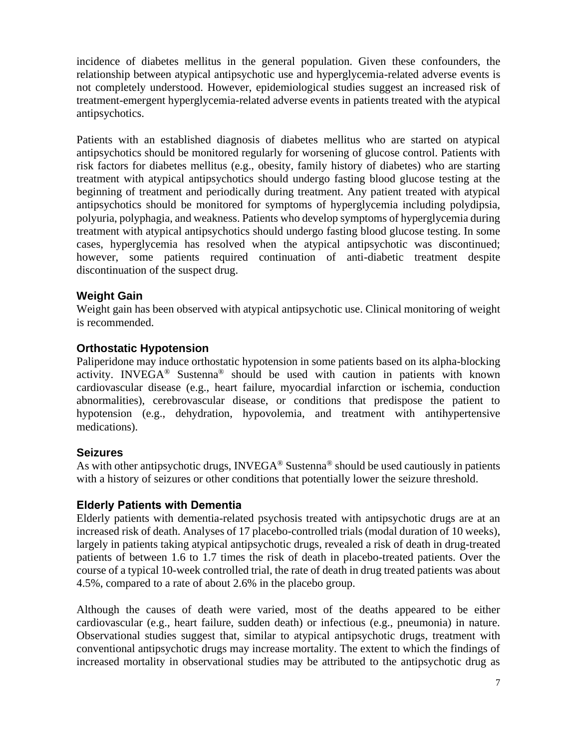incidence of diabetes mellitus in the general population. Given these confounders, the relationship between atypical antipsychotic use and hyperglycemia-related adverse events is not completely understood. However, epidemiological studies suggest an increased risk of treatment-emergent hyperglycemia-related adverse events in patients treated with the atypical antipsychotics.

Patients with an established diagnosis of diabetes mellitus who are started on atypical antipsychotics should be monitored regularly for worsening of glucose control. Patients with risk factors for diabetes mellitus (e.g., obesity, family history of diabetes) who are starting treatment with atypical antipsychotics should undergo fasting blood glucose testing at the beginning of treatment and periodically during treatment. Any patient treated with atypical antipsychotics should be monitored for symptoms of hyperglycemia including polydipsia, polyuria, polyphagia, and weakness. Patients who develop symptoms of hyperglycemia during treatment with atypical antipsychotics should undergo fasting blood glucose testing. In some cases, hyperglycemia has resolved when the atypical antipsychotic was discontinued; however, some patients required continuation of anti-diabetic treatment despite discontinuation of the suspect drug.

### **Weight Gain**

Weight gain has been observed with atypical antipsychotic use. Clinical monitoring of weight is recommended.

### **Orthostatic Hypotension**

Paliperidone may induce orthostatic hypotension in some patients based on its alpha-blocking activity. INVEGA® Sustenna® should be used with caution in patients with known cardiovascular disease (e.g., heart failure, myocardial infarction or ischemia, conduction abnormalities), cerebrovascular disease, or conditions that predispose the patient to hypotension (e.g., dehydration, hypovolemia, and treatment with antihypertensive medications).

### **Seizures**

As with other antipsychotic drugs, INVEGA<sup>®</sup> Sustenna<sup>®</sup> should be used cautiously in patients with a history of seizures or other conditions that potentially lower the seizure threshold.

### **Elderly Patients with Dementia**

Elderly patients with dementia-related psychosis treated with antipsychotic drugs are at an increased risk of death. Analyses of 17 placebo-controlled trials (modal duration of 10 weeks), largely in patients taking atypical antipsychotic drugs, revealed a risk of death in drug-treated patients of between 1.6 to 1.7 times the risk of death in placebo-treated patients. Over the course of a typical 10-week controlled trial, the rate of death in drug treated patients was about 4.5%, compared to a rate of about 2.6% in the placebo group.

Although the causes of death were varied, most of the deaths appeared to be either cardiovascular (e.g., heart failure, sudden death) or infectious (e.g., pneumonia) in nature. Observational studies suggest that, similar to atypical antipsychotic drugs, treatment with conventional antipsychotic drugs may increase mortality. The extent to which the findings of increased mortality in observational studies may be attributed to the antipsychotic drug as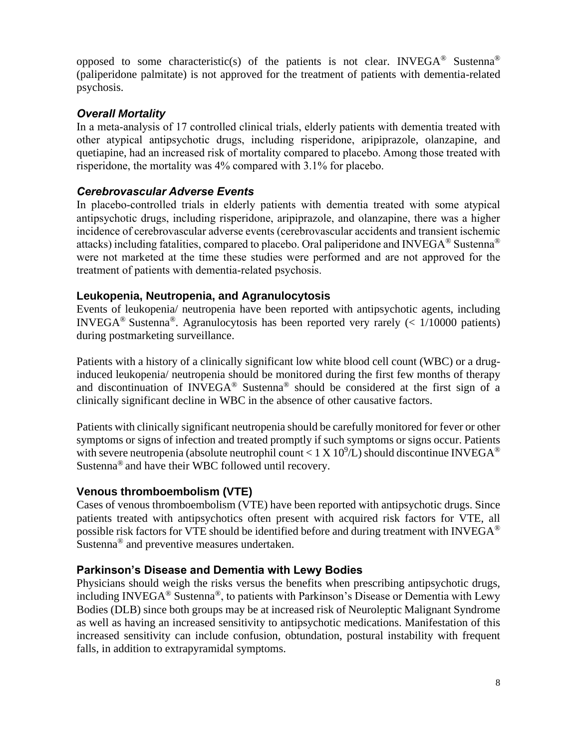opposed to some characteristic(s) of the patients is not clear. INVEGA<sup>®</sup> Sustenna<sup>®</sup> (paliperidone palmitate) is not approved for the treatment of patients with dementia-related psychosis.

## *Overall Mortality*

In a meta-analysis of 17 controlled clinical trials, elderly patients with dementia treated with other atypical antipsychotic drugs, including risperidone, aripiprazole, olanzapine, and quetiapine, had an increased risk of mortality compared to placebo. Among those treated with risperidone, the mortality was 4% compared with 3.1% for placebo.

### *Cerebrovascular Adverse Events*

In placebo-controlled trials in elderly patients with dementia treated with some atypical antipsychotic drugs, including risperidone, aripiprazole, and olanzapine, there was a higher incidence of cerebrovascular adverse events (cerebrovascular accidents and transient ischemic attacks) including fatalities, compared to placebo. Oral paliperidone and INVEGA<sup>®</sup> Sustenna<sup>®</sup> were not marketed at the time these studies were performed and are not approved for the treatment of patients with dementia-related psychosis.

### **Leukopenia, Neutropenia, and Agranulocytosis**

Events of leukopenia/ neutropenia have been reported with antipsychotic agents, including INVEGA<sup>®</sup> Sustenna<sup>®</sup>. Agranulocytosis has been reported very rarely  $\left($  < 1/10000 patients) during postmarketing surveillance.

Patients with a history of a clinically significant low white blood cell count (WBC) or a druginduced leukopenia/ neutropenia should be monitored during the first few months of therapy and discontinuation of INVEGA® Sustenna® should be considered at the first sign of a clinically significant decline in WBC in the absence of other causative factors.

Patients with clinically significant neutropenia should be carefully monitored for fever or other symptoms or signs of infection and treated promptly if such symptoms or signs occur. Patients with severe neutropenia (absolute neutrophil count < 1 X  $10^9$ /L) should discontinue INVEGA<sup>®</sup> Sustenna® and have their WBC followed until recovery.

## **Venous thromboembolism (VTE)**

Cases of venous thromboembolism (VTE) have been reported with antipsychotic drugs. Since patients treated with antipsychotics often present with acquired risk factors for VTE, all possible risk factors for VTE should be identified before and during treatment with INVEGA<sup>®</sup> Sustenna® and preventive measures undertaken.

## **Parkinson's Disease and Dementia with Lewy Bodies**

Physicians should weigh the risks versus the benefits when prescribing antipsychotic drugs, including INVEGA<sup>®</sup> Sustenna<sup>®</sup>, to patients with Parkinson's Disease or Dementia with Lewy Bodies (DLB) since both groups may be at increased risk of Neuroleptic Malignant Syndrome as well as having an increased sensitivity to antipsychotic medications. Manifestation of this increased sensitivity can include confusion, obtundation, postural instability with frequent falls, in addition to extrapyramidal symptoms.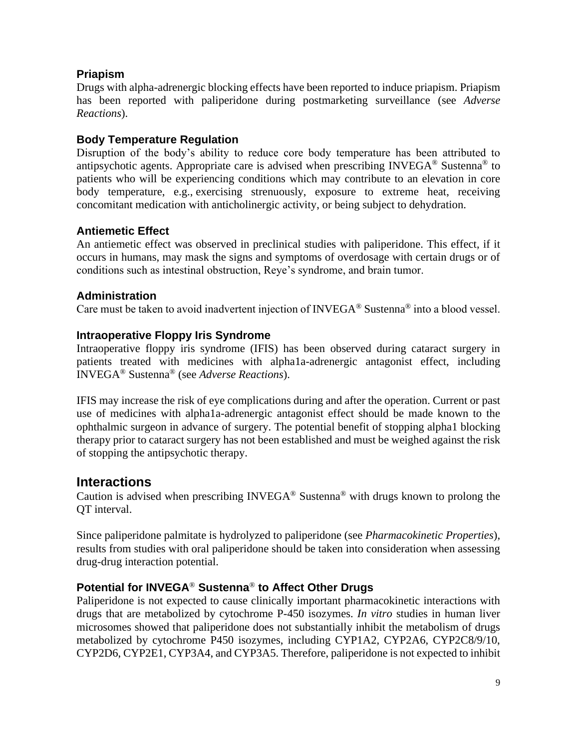## **Priapism**

Drugs with alpha-adrenergic blocking effects have been reported to induce priapism. Priapism has been reported with paliperidone during postmarketing surveillance (see *Adverse Reactions*).

### **Body Temperature Regulation**

Disruption of the body's ability to reduce core body temperature has been attributed to antipsychotic agents. Appropriate care is advised when prescribing INVEGA® Sustenna® to patients who will be experiencing conditions which may contribute to an elevation in core body temperature, e.g., exercising strenuously, exposure to extreme heat, receiving concomitant medication with anticholinergic activity, or being subject to dehydration.

### **Antiemetic Effect**

An antiemetic effect was observed in preclinical studies with paliperidone. This effect, if it occurs in humans, may mask the signs and symptoms of overdosage with certain drugs or of conditions such as intestinal obstruction, Reye's syndrome, and brain tumor.

### **Administration**

Care must be taken to avoid inadvertent injection of INVEGA® Sustenna® into a blood vessel.

### **Intraoperative Floppy Iris Syndrome**

Intraoperative floppy iris syndrome (IFIS) has been observed during cataract surgery in patients treated with medicines with alpha1a-adrenergic antagonist effect, including INVEGA® Sustenna® (see *Adverse Reactions*).

IFIS may increase the risk of eye complications during and after the operation. Current or past use of medicines with alpha1a-adrenergic antagonist effect should be made known to the ophthalmic surgeon in advance of surgery. The potential benefit of stopping alpha1 blocking therapy prior to cataract surgery has not been established and must be weighed against the risk of stopping the antipsychotic therapy.

## **Interactions**

Caution is advised when prescribing  $INVEGA^{\circledast}$  Sustenna<sup>®</sup> with drugs known to prolong the OT interval.

Since paliperidone palmitate is hydrolyzed to paliperidone (see *Pharmacokinetic Properties*), results from studies with oral paliperidone should be taken into consideration when assessing drug-drug interaction potential.

## **Potential for INVEGA**® **Sustenna**® **to Affect Other Drugs**

Paliperidone is not expected to cause clinically important pharmacokinetic interactions with drugs that are metabolized by cytochrome P-450 isozymes. *In vitro* studies in human liver microsomes showed that paliperidone does not substantially inhibit the metabolism of drugs metabolized by cytochrome P450 isozymes, including CYP1A2, CYP2A6, CYP2C8/9/10, CYP2D6, CYP2E1, CYP3A4, and CYP3A5. Therefore, paliperidone is not expected to inhibit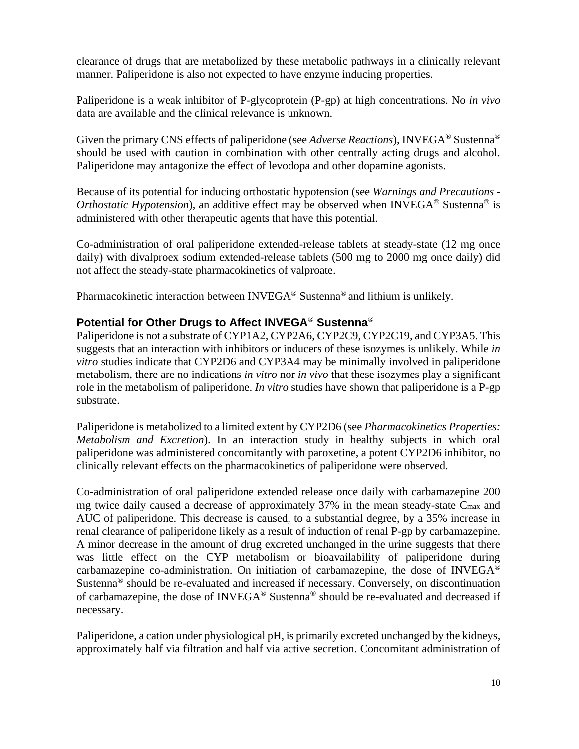clearance of drugs that are metabolized by these metabolic pathways in a clinically relevant manner. Paliperidone is also not expected to have enzyme inducing properties.

Paliperidone is a weak inhibitor of P-glycoprotein (P-gp) at high concentrations. No *in vivo* data are available and the clinical relevance is unknown.

Given the primary CNS effects of paliperidone (see *Adverse Reactions*), INVEGA® Sustenna® should be used with caution in combination with other centrally acting drugs and alcohol. Paliperidone may antagonize the effect of levodopa and other dopamine agonists.

Because of its potential for inducing orthostatic hypotension (see *Warnings and Precautions - Orthostatic Hypotension*), an additive effect may be observed when INVEGA<sup>®</sup> Sustenna<sup>®</sup> is administered with other therapeutic agents that have this potential.

Co-administration of oral paliperidone extended-release tablets at steady-state (12 mg once daily) with divalproex sodium extended-release tablets (500 mg to 2000 mg once daily) did not affect the steady-state pharmacokinetics of valproate.

Pharmacokinetic interaction between INVEGA® Sustenna® and lithium is unlikely.

### **Potential for Other Drugs to Affect INVEGA**® **Sustenna**®

Paliperidone is not a substrate of CYP1A2, CYP2A6, CYP2C9, CYP2C19, and CYP3A5. This suggests that an interaction with inhibitors or inducers of these isozymes is unlikely. While *in vitro* studies indicate that CYP2D6 and CYP3A4 may be minimally involved in paliperidone metabolism, there are no indications *in vitro* nor *in vivo* that these isozymes play a significant role in the metabolism of paliperidone. *In vitro* studies have shown that paliperidone is a P-gp substrate.

Paliperidone is metabolized to a limited extent by CYP2D6 (see *Pharmacokinetics Properties: Metabolism and Excretion*). In an interaction study in healthy subjects in which oral paliperidone was administered concomitantly with paroxetine, a potent CYP2D6 inhibitor, no clinically relevant effects on the pharmacokinetics of paliperidone were observed.

Co-administration of oral paliperidone extended release once daily with carbamazepine 200 mg twice daily caused a decrease of approximately  $37\%$  in the mean steady-state C<sub>max</sub> and AUC of paliperidone. This decrease is caused, to a substantial degree, by a 35% increase in renal clearance of paliperidone likely as a result of induction of renal P-gp by carbamazepine. A minor decrease in the amount of drug excreted unchanged in the urine suggests that there was little effect on the CYP metabolism or bioavailability of paliperidone during carbamazepine co-administration. On initiation of carbamazepine, the dose of INVEGA® Sustenna® should be re-evaluated and increased if necessary. Conversely, on discontinuation of carbamazepine, the dose of INVEGA® Sustenna® should be re-evaluated and decreased if necessary.

Paliperidone, a cation under physiological pH, is primarily excreted unchanged by the kidneys, approximately half via filtration and half via active secretion. Concomitant administration of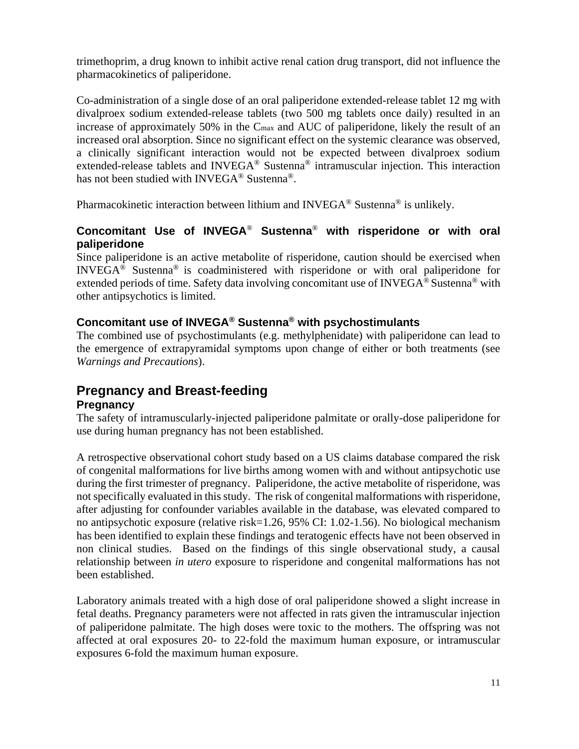trimethoprim, a drug known to inhibit active renal cation drug transport, did not influence the pharmacokinetics of paliperidone.

Co-administration of a single dose of an oral paliperidone extended-release tablet 12 mg with divalproex sodium extended-release tablets (two 500 mg tablets once daily) resulted in an increase of approximately 50% in the  $C_{\text{max}}$  and AUC of paliperidone, likely the result of an increased oral absorption. Since no significant effect on the systemic clearance was observed, a clinically significant interaction would not be expected between divalproex sodium extended-release tablets and INVEGA® Sustenna® intramuscular injection. This interaction has not been studied with INVEGA® Sustenna®.

Pharmacokinetic interaction between lithium and  $INVEGA^{\circledast}$  Sustenna<sup>®</sup> is unlikely.

## **Concomitant Use of INVEGA**® **Sustenna** ® **with risperidone or with oral paliperidone**

Since paliperidone is an active metabolite of risperidone, caution should be exercised when INVEGA® Sustenna® is coadministered with risperidone or with oral paliperidone for extended periods of time. Safety data involving concomitant use of INVEGA<sup>®</sup> Sustenna<sup>®</sup> with other antipsychotics is limited.

## **Concomitant use of INVEGA® Sustenna® with psychostimulants**

The combined use of psychostimulants (e.g. methylphenidate) with paliperidone can lead to the emergence of extrapyramidal symptoms upon change of either or both treatments (see *Warnings and Precautions*).

# **Pregnancy and Breast-feeding**

### **Pregnancy**

The safety of intramuscularly-injected paliperidone palmitate or orally-dose paliperidone for use during human pregnancy has not been established.

A retrospective observational cohort study based on a US claims database compared the risk of congenital malformations for live births among women with and without antipsychotic use during the first trimester of pregnancy. Paliperidone, the active metabolite of risperidone, was not specifically evaluated in this study. The risk of congenital malformations with risperidone, after adjusting for confounder variables available in the database, was elevated compared to no antipsychotic exposure (relative risk=1.26, 95% CI: 1.02-1.56). No biological mechanism has been identified to explain these findings and teratogenic effects have not been observed in non clinical studies. Based on the findings of this single observational study, a causal relationship between *in utero* exposure to risperidone and congenital malformations has not been established.

Laboratory animals treated with a high dose of oral paliperidone showed a slight increase in fetal deaths. Pregnancy parameters were not affected in rats given the intramuscular injection of paliperidone palmitate. The high doses were toxic to the mothers. The offspring was not affected at oral exposures 20- to 22-fold the maximum human exposure, or intramuscular exposures 6-fold the maximum human exposure.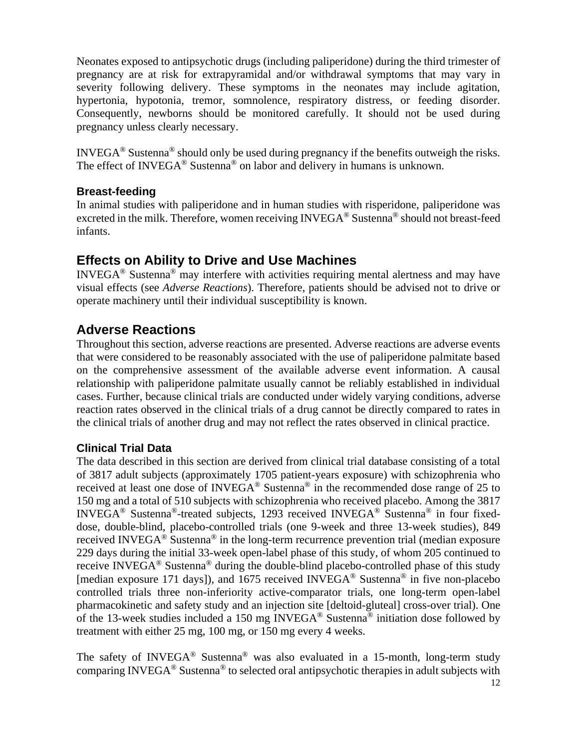Neonates exposed to antipsychotic drugs (including paliperidone) during the third trimester of pregnancy are at risk for extrapyramidal and/or withdrawal symptoms that may vary in severity following delivery. These symptoms in the neonates may include agitation, hypertonia, hypotonia, tremor, somnolence, respiratory distress, or feeding disorder. Consequently, newborns should be monitored carefully. It should not be used during pregnancy unless clearly necessary.

INVEGA® Sustenna® should only be used during pregnancy if the benefits outweigh the risks. The effect of INVEGA<sup>®</sup> Sustenna<sup>®</sup> on labor and delivery in humans is unknown.

### **Breast-feeding**

In animal studies with paliperidone and in human studies with risperidone, paliperidone was excreted in the milk. Therefore, women receiving INVEGA® Sustenna® should not breast-feed infants.

## **Effects on Ability to Drive and Use Machines**

INVEGA® Sustenna® may interfere with activities requiring mental alertness and may have visual effects (see *Adverse Reactions*). Therefore, patients should be advised not to drive or operate machinery until their individual susceptibility is known.

# **Adverse Reactions**

Throughout this section, adverse reactions are presented. Adverse reactions are adverse events that were considered to be reasonably associated with the use of paliperidone palmitate based on the comprehensive assessment of the available adverse event information. A causal relationship with paliperidone palmitate usually cannot be reliably established in individual cases. Further, because clinical trials are conducted under widely varying conditions, adverse reaction rates observed in the clinical trials of a drug cannot be directly compared to rates in the clinical trials of another drug and may not reflect the rates observed in clinical practice.

## **Clinical Trial Data**

The data described in this section are derived from clinical trial database consisting of a total of 3817 adult subjects (approximately 1705 patient-years exposure) with schizophrenia who received at least one dose of INVEGA® Sustenna® in the recommended dose range of 25 to 150 mg and a total of 510 subjects with schizophrenia who received placebo. Among the 3817 INVEGA® Sustenna®-treated subjects, 1293 received INVEGA® Sustenna® in four fixeddose, double-blind, placebo-controlled trials (one 9-week and three 13-week studies), 849 received INVEGA<sup>®</sup> Sustenna<sup>®</sup> in the long-term recurrence prevention trial (median exposure 229 days during the initial 33-week open-label phase of this study, of whom 205 continued to receive INVEGA<sup>®</sup> Sustenna<sup>®</sup> during the double-blind placebo-controlled phase of this study [median exposure 171 days]), and 1675 received INVEGA<sup>®</sup> Sustenna<sup>®</sup> in five non-placebo controlled trials three non-inferiority active-comparator trials, one long-term open-label pharmacokinetic and safety study and an injection site [deltoid-gluteal] cross-over trial). One of the 13-week studies included a 150 mg INVEGA® Sustenna® initiation dose followed by treatment with either 25 mg, 100 mg, or 150 mg every 4 weeks.

The safety of INVEGA® Sustenna® was also evaluated in a 15-month, long-term study comparing INVEGA® Sustenna® to selected oral antipsychotic therapies in adult subjects with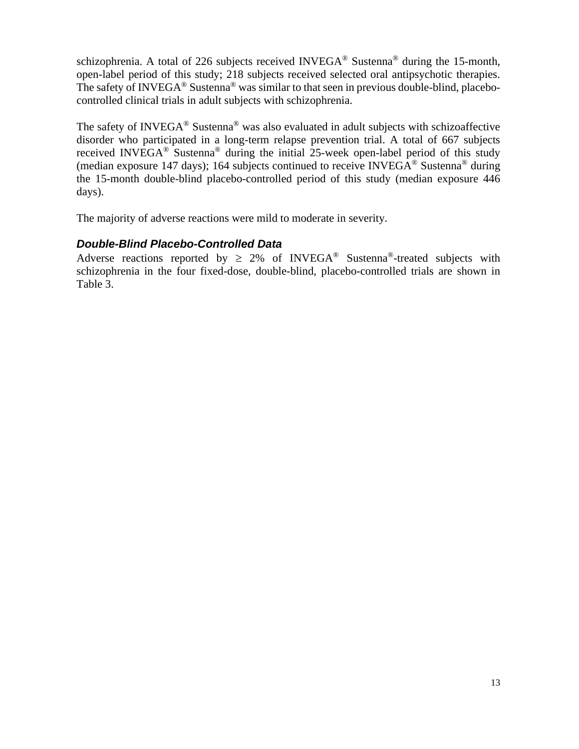schizophrenia. A total of 226 subjects received INVEGA<sup>®</sup> Sustenna<sup>®</sup> during the 15-month, open-label period of this study; 218 subjects received selected oral antipsychotic therapies. The safety of INVEGA<sup>®</sup> Sustenna<sup>®</sup> was similar to that seen in previous double-blind, placebocontrolled clinical trials in adult subjects with schizophrenia.

The safety of INVEGA® Sustenna® was also evaluated in adult subjects with schizoaffective disorder who participated in a long-term relapse prevention trial. A total of 667 subjects received INVEGA® Sustenna® during the initial 25-week open-label period of this study (median exposure 147 days); 164 subjects continued to receive INVEGA<sup>®</sup> Sustenna<sup>®</sup> during the 15-month double-blind placebo-controlled period of this study (median exposure 446 days).

The majority of adverse reactions were mild to moderate in severity.

### *Double-Blind Placebo-Controlled Data*

Adverse reactions reported by  $\geq$  2% of INVEGA<sup>®</sup> Sustenna<sup>®</sup>-treated subjects with schizophrenia in the four fixed-dose, double-blind, placebo-controlled trials are shown in Table 3.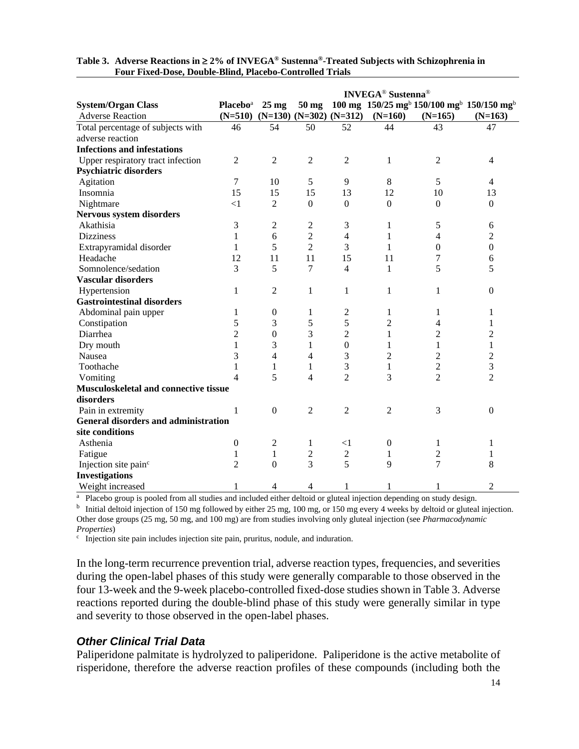|                                             |                             | <b>INVEGA<sup>®</sup></b> Sustenna <sup>®</sup> |                  |                                         |                  |                  |                                                                               |
|---------------------------------------------|-----------------------------|-------------------------------------------------|------------------|-----------------------------------------|------------------|------------------|-------------------------------------------------------------------------------|
| <b>System/Organ Class</b>                   | <b>Placebo</b> <sup>a</sup> | $25 \text{ mg}$                                 | 50 mg            |                                         |                  |                  | 100 mg 150/25 mg <sup>b</sup> 150/100 mg <sup>b</sup> 150/150 mg <sup>b</sup> |
| <b>Adverse Reaction</b>                     |                             |                                                 |                  | $(N=510)$ $(N=130)$ $(N=302)$ $(N=312)$ | $(N=160)$        | $(N=165)$        | $(N=163)$                                                                     |
| Total percentage of subjects with           | 46                          | 54                                              | 50               | 52                                      | 44               | 43               | 47                                                                            |
| adverse reaction                            |                             |                                                 |                  |                                         |                  |                  |                                                                               |
| <b>Infections and infestations</b>          |                             |                                                 |                  |                                         |                  |                  |                                                                               |
| Upper respiratory tract infection           | 2                           | $\mathfrak{2}$                                  | $\overline{2}$   | $\overline{2}$                          | 1                | 2                | $\overline{4}$                                                                |
| <b>Psychiatric disorders</b>                |                             |                                                 |                  |                                         |                  |                  |                                                                               |
| Agitation                                   | 7                           | 10                                              | 5                | 9                                       | 8                | 5                | $\overline{4}$                                                                |
| Insomnia                                    | 15                          | 15                                              | 15               | 13                                      | 12               | 10               | 13                                                                            |
| Nightmare                                   | <1                          | $\overline{2}$                                  | $\boldsymbol{0}$ | $\boldsymbol{0}$                        | $\mathbf{0}$     | $\mathbf{0}$     | $\boldsymbol{0}$                                                              |
| <b>Nervous system disorders</b>             |                             |                                                 |                  |                                         |                  |                  |                                                                               |
| Akathisia                                   | 3                           | $\mathfrak{2}$                                  | $\sqrt{2}$       | 3                                       | 1                | 5                | 6                                                                             |
| <b>Dizziness</b>                            | 1                           | 6                                               | $\overline{2}$   | $\overline{\mathcal{L}}$                | 1                | $\overline{4}$   | $\overline{c}$                                                                |
| Extrapyramidal disorder                     | 1                           | 5                                               | $\overline{2}$   | 3                                       | 1                | $\boldsymbol{0}$ | $\boldsymbol{0}$                                                              |
| Headache                                    | 12                          | 11                                              | 11               | 15                                      | 11               | 7                | 6                                                                             |
| Somnolence/sedation                         | 3                           | 5                                               | 7                | 4                                       | 1                | 5                | 5                                                                             |
| <b>Vascular disorders</b>                   |                             |                                                 |                  |                                         |                  |                  |                                                                               |
| Hypertension                                | 1                           | $\mathfrak{2}$                                  | $\mathbf{1}$     | $\mathbf{1}$                            | 1                | 1                | $\boldsymbol{0}$                                                              |
| <b>Gastrointestinal disorders</b>           |                             |                                                 |                  |                                         |                  |                  |                                                                               |
| Abdominal pain upper                        | 1                           | $\boldsymbol{0}$                                | 1                | $\overline{c}$                          | 1                | 1                | 1                                                                             |
| Constipation                                | 5                           | $\mathfrak{Z}$                                  | 5                | 5                                       | $\overline{c}$   | 4                | 1                                                                             |
| Diarrhea                                    | $\overline{c}$              | $\boldsymbol{0}$                                | 3                | $\overline{c}$                          | 1                | $\overline{c}$   | $\overline{c}$                                                                |
| Dry mouth                                   | $\mathbf{1}$                | 3                                               | $\mathbf{1}$     | $\overline{0}$                          | 1                | 1                | $\mathbf{1}$                                                                  |
| Nausea                                      | 3                           | 4                                               | 4                | 3                                       | $\overline{c}$   | $\overline{c}$   | $\overline{c}$                                                                |
| Toothache                                   | $\mathbf{1}$                | 1                                               | $\mathbf{1}$     | 3                                       | $\mathbf{1}$     | $\overline{2}$   | 3                                                                             |
| Vomiting                                    | 4                           | 5                                               | $\overline{4}$   | $\overline{2}$                          | 3                | $\overline{2}$   | $\overline{2}$                                                                |
| Musculoskeletal and connective tissue       |                             |                                                 |                  |                                         |                  |                  |                                                                               |
| disorders                                   |                             |                                                 |                  |                                         |                  |                  |                                                                               |
| Pain in extremity                           | 1                           | $\overline{0}$                                  | $\overline{2}$   | $\overline{2}$                          | 2                | 3                | $\boldsymbol{0}$                                                              |
| <b>General disorders and administration</b> |                             |                                                 |                  |                                         |                  |                  |                                                                               |
| site conditions                             |                             |                                                 |                  |                                         |                  |                  |                                                                               |
| Asthenia                                    | $\boldsymbol{0}$            | $\overline{c}$                                  | 1                | $\leq$ 1                                | $\boldsymbol{0}$ | 1                | 1                                                                             |
| Fatigue                                     | 1                           | $\,1$                                           | $\sqrt{2}$       | $\sqrt{2}$                              | 1                | $\overline{c}$   | 1                                                                             |
| Injection site pain <sup>c</sup>            | $\overline{2}$              | $\overline{0}$                                  | 3                | 5                                       | 9                | 7                | 8                                                                             |
| <b>Investigations</b>                       |                             |                                                 |                  |                                         |                  |                  |                                                                               |
| Weight increased                            | 1                           | 4                                               | 4                | 1                                       | 1                | 1                | 2                                                                             |

**Table 3. Adverse Reactions in 2% of INVEGA® Sustenna®-Treated Subjects with Schizophrenia in Four Fixed-Dose, Double-Blind, Placebo-Controlled Trials**

<sup>a</sup> Placebo group is pooled from all studies and included either deltoid or gluteal injection depending on study design.

<sup>b</sup> Initial deltoid injection of 150 mg followed by either 25 mg, 100 mg, or 150 mg every 4 weeks by deltoid or gluteal injection. Other dose groups (25 mg, 50 mg, and 100 mg) are from studies involving only gluteal injection (see *Pharmacodynamic Properties*)

<sup>c</sup> Injection site pain includes injection site pain, pruritus, nodule, and induration.

In the long-term recurrence prevention trial, adverse reaction types, frequencies, and severities during the open-label phases of this study were generally comparable to those observed in the four 13-week and the 9-week placebo-controlled fixed-dose studies shown in Table 3. Adverse reactions reported during the double-blind phase of this study were generally similar in type and severity to those observed in the open-label phases.

### *Other Clinical Trial Data*

Paliperidone palmitate is hydrolyzed to paliperidone. Paliperidone is the active metabolite of risperidone, therefore the adverse reaction profiles of these compounds (including both the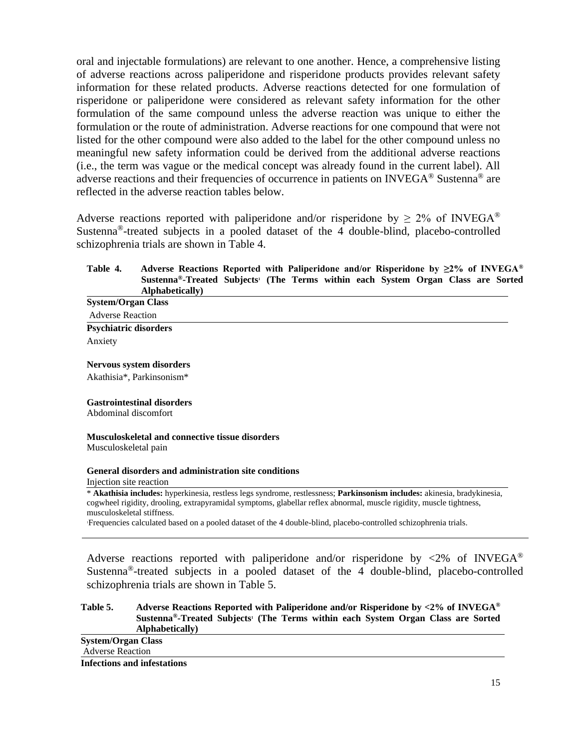oral and injectable formulations) are relevant to one another. Hence, a comprehensive listing of adverse reactions across paliperidone and risperidone products provides relevant safety information for these related products. Adverse reactions detected for one formulation of risperidone or paliperidone were considered as relevant safety information for the other formulation of the same compound unless the adverse reaction was unique to either the formulation or the route of administration. Adverse reactions for one compound that were not listed for the other compound were also added to the label for the other compound unless no meaningful new safety information could be derived from the additional adverse reactions (i.e., the term was vague or the medical concept was already found in the current label). All adverse reactions and their frequencies of occurrence in patients on INVEGA<sup>®</sup> Sustenna<sup>®</sup> are reflected in the adverse reaction tables below.

Adverse reactions reported with paliperidone and/or risperidone by  $\geq 2\%$  of INVEGA<sup>®</sup> Sustenna®-treated subjects in a pooled dataset of the 4 double-blind, placebo-controlled schizophrenia trials are shown in Table 4.

#### **Table 4. Adverse Reactions Reported with Paliperidone and/or Risperidone by ≥2% of INVEGA® Sustenna®-Treated Subjects<sup>1</sup> (The Terms within each System Organ Class are Sorted Alphabetically)**

| <b>System/Organ Class</b>                                                                                                                                                                                                                                                     |
|-------------------------------------------------------------------------------------------------------------------------------------------------------------------------------------------------------------------------------------------------------------------------------|
| <b>Adverse Reaction</b>                                                                                                                                                                                                                                                       |
| <b>Psychiatric disorders</b>                                                                                                                                                                                                                                                  |
| Anxiety                                                                                                                                                                                                                                                                       |
| Nervous system disorders                                                                                                                                                                                                                                                      |
| Akathisia*, Parkinsonism*                                                                                                                                                                                                                                                     |
| <b>Gastrointestinal disorders</b>                                                                                                                                                                                                                                             |
| Abdominal discomfort                                                                                                                                                                                                                                                          |
| Musculoskeletal and connective tissue disorders                                                                                                                                                                                                                               |
| Musculoskeletal pain                                                                                                                                                                                                                                                          |
| General disorders and administration site conditions                                                                                                                                                                                                                          |
| Injection site reaction                                                                                                                                                                                                                                                       |
| * Akathisia includes: hyperkinesia, restless legs syndrome, restlessness; Parkinsonism includes: akinesia, bradykinesia,<br>cogwheel rigidity, drooling, extrapyramidal symptoms, glabellar reflex abnormal, muscle rigidity, muscle tightness,<br>musculoskeletal stiffness. |

<sup>1</sup>Frequencies calculated based on a pooled dataset of the 4 double-blind, placebo-controlled schizophrenia trials.

Adverse reactions reported with paliperidone and/or risperidone by  $\langle 2\% \rangle$  of INVEGA<sup>®</sup> Sustenna®-treated subjects in a pooled dataset of the 4 double-blind, placebo-controlled schizophrenia trials are shown in Table 5.

### **Table 5. Adverse Reactions Reported with Paliperidone and/or Risperidone by <2% of INVEGA® Sustenna®-Treated Subjects<sup>1</sup> (The Terms within each System Organ Class are Sorted Alphabetically)**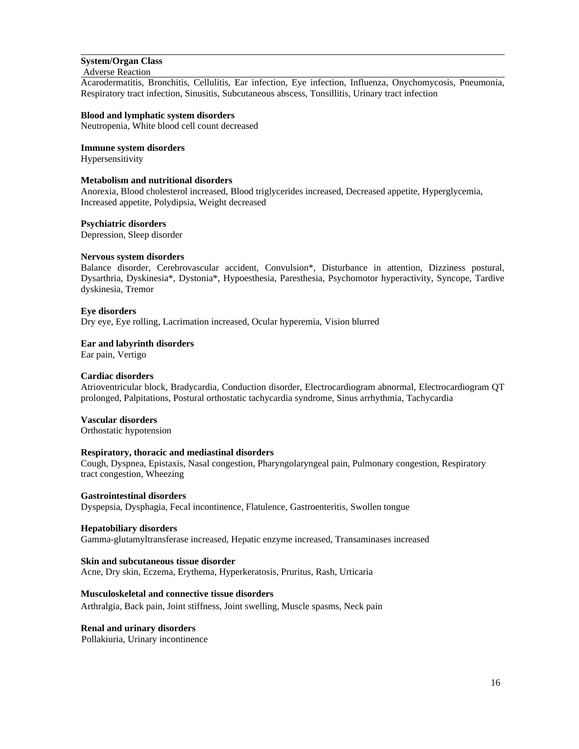### **System/Organ Class**

### Adverse Reaction

Acarodermatitis, Bronchitis, Cellulitis, Ear infection, Eye infection, Influenza, Onychomycosis, Pneumonia, Respiratory tract infection, Sinusitis, Subcutaneous abscess, Tonsillitis, Urinary tract infection

#### **Blood and lymphatic system disorders**

Neutropenia, White blood cell count decreased

#### **Immune system disorders**

Hypersensitivity

#### **Metabolism and nutritional disorders**

Anorexia, Blood cholesterol increased, Blood triglycerides increased, Decreased appetite, Hyperglycemia, Increased appetite, Polydipsia, Weight decreased

**Psychiatric disorders**

Depression, Sleep disorder

#### **Nervous system disorders**

Balance disorder, Cerebrovascular accident, Convulsion\*, Disturbance in attention, Dizziness postural, Dysarthria, Dyskinesia\*, Dystonia\*, Hypoesthesia, Paresthesia, Psychomotor hyperactivity, Syncope, Tardive dyskinesia, Tremor

#### **Eye disorders**

Dry eye, Eye rolling, Lacrimation increased, Ocular hyperemia, Vision blurred

#### **Ear and labyrinth disorders**

Ear pain, Vertigo

#### **Cardiac disorders**

Atrioventricular block, Bradycardia, Conduction disorder, Electrocardiogram abnormal, Electrocardiogram QT prolonged, Palpitations, Postural orthostatic tachycardia syndrome, Sinus arrhythmia, Tachycardia

#### **Vascular disorders**

Orthostatic hypotension

### **Respiratory, thoracic and mediastinal disorders**

Cough, Dyspnea, Epistaxis, Nasal congestion, Pharyngolaryngeal pain, Pulmonary congestion, Respiratory tract congestion, Wheezing

**Gastrointestinal disorders** 

Dyspepsia, Dysphagia, Fecal incontinence, Flatulence, Gastroenteritis, Swollen tongue

#### **Hepatobiliary disorders**

Gamma-glutamyltransferase increased, Hepatic enzyme increased, Transaminases increased

#### **Skin and subcutaneous tissue disorder**

Acne, Dry skin, Eczema, Erythema, Hyperkeratosis, Pruritus, Rash, Urticaria

#### **Musculoskeletal and connective tissue disorders**

Arthralgia, Back pain, Joint stiffness, Joint swelling, Muscle spasms, Neck pain

#### **Renal and urinary disorders**

Pollakiuria, Urinary incontinence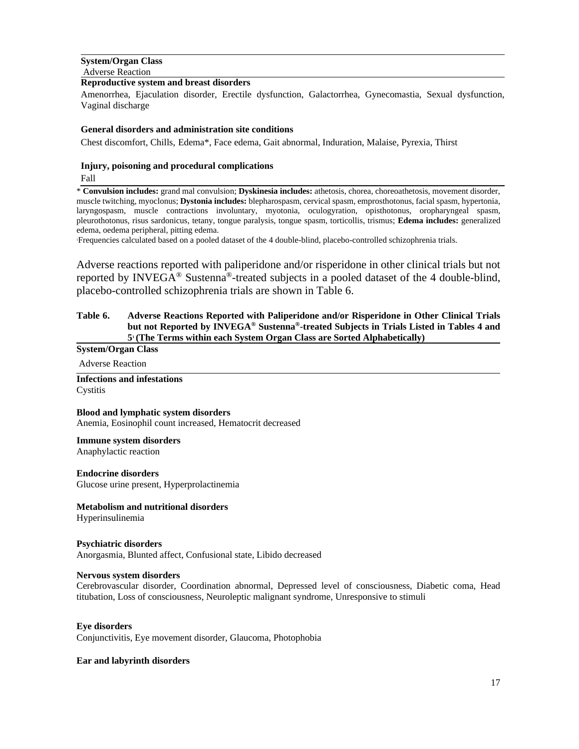### **System/Organ Class**

Adverse Reaction

### **Reproductive system and breast disorders**

Amenorrhea, Ejaculation disorder, Erectile dysfunction, Galactorrhea, Gynecomastia, Sexual dysfunction, Vaginal discharge

#### **General disorders and administration site conditions**

Chest discomfort, Chills, Edema\*, Face edema, Gait abnormal, Induration, Malaise, Pyrexia, Thirst

#### **Injury, poisoning and procedural complications**

Fall

\* **Convulsion includes:** grand mal convulsion; **Dyskinesia includes:** athetosis, chorea, choreoathetosis, movement disorder, muscle twitching, myoclonus; **Dystonia includes:** blepharospasm, cervical spasm, emprosthotonus, facial spasm, hypertonia, laryngospasm, muscle contractions involuntary, myotonia, oculogyration, opisthotonus, oropharyngeal spasm, pleurothotonus, risus sardonicus, tetany, tongue paralysis, tongue spasm, torticollis, trismus; **Edema includes:** generalized edema, oedema peripheral, pitting edema.

<sup>1</sup>Frequencies calculated based on a pooled dataset of the 4 double-blind, placebo-controlled schizophrenia trials.

Adverse reactions reported with paliperidone and/or risperidone in other clinical trials but not reported by INVEGA® Sustenna®-treated subjects in a pooled dataset of the 4 double-blind, placebo-controlled schizophrenia trials are shown in Table 6.

### **Table 6. Adverse Reactions Reported with Paliperidone and/or Risperidone in Other Clinical Trials but not Reported by INVEGA® Sustenna®-treated Subjects in Trials Listed in Tables 4 and 5 1 (The Terms within each System Organ Class are Sorted Alphabetically)**

### **System/Organ Class**

Adverse Reaction

### **Infections and infestations**

Cystitis

**Blood and lymphatic system disorders** Anemia, Eosinophil count increased, Hematocrit decreased

### **Immune system disorders**

Anaphylactic reaction

#### **Endocrine disorders**

Glucose urine present, Hyperprolactinemia

#### **Metabolism and nutritional disorders**

Hyperinsulinemia

#### **Psychiatric disorders**

Anorgasmia, Blunted affect, Confusional state, Libido decreased

#### **Nervous system disorders**

Cerebrovascular disorder, Coordination abnormal, Depressed level of consciousness, Diabetic coma, Head titubation, Loss of consciousness, Neuroleptic malignant syndrome, Unresponsive to stimuli

#### **Eye disorders**

Conjunctivitis, Eye movement disorder, Glaucoma, Photophobia

#### **Ear and labyrinth disorders**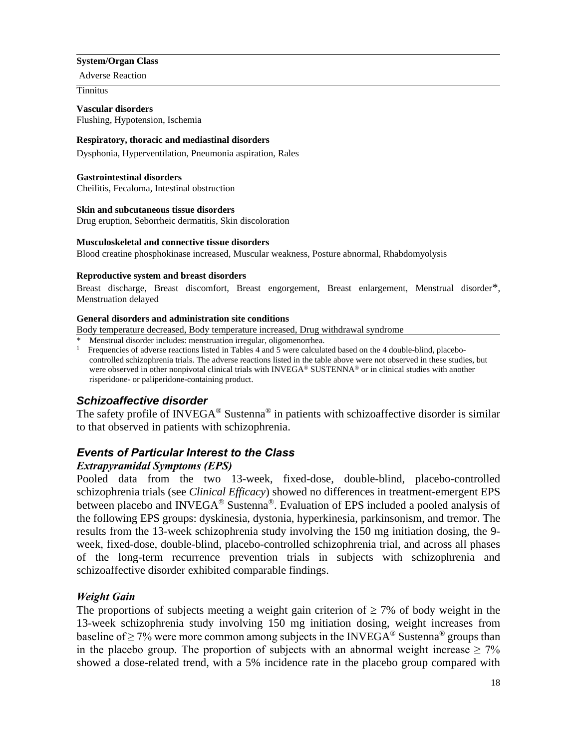### **System/Organ Class**

Adverse Reaction

Tinnitus

**Vascular disorders** Flushing, Hypotension, Ischemia

### **Respiratory, thoracic and mediastinal disorders**

Dysphonia, Hyperventilation, Pneumonia aspiration, Rales

### **Gastrointestinal disorders**

Cheilitis, Fecaloma, Intestinal obstruction

### **Skin and subcutaneous tissue disorders**

Drug eruption, Seborrheic dermatitis, Skin discoloration

### **Musculoskeletal and connective tissue disorders**

Blood creatine phosphokinase increased, Muscular weakness, Posture abnormal, Rhabdomyolysis

### **Reproductive system and breast disorders**

Breast discharge, Breast discomfort, Breast engorgement, Breast enlargement, Menstrual disorder\*, Menstruation delayed

### **General disorders and administration site conditions**

Body temperature decreased, Body temperature increased, Drug withdrawal syndrome

- \* Menstrual disorder includes: menstruation irregular, oligomenorrhea.
- <sup>1</sup>Frequencies of adverse reactions listed in Tables 4 and 5 were calculated based on the 4 double-blind, placebocontrolled schizophrenia trials. The adverse reactions listed in the table above were not observed in these studies, but were observed in other nonpivotal clinical trials with INVEGA® SUSTENNA® or in clinical studies with another risperidone- or paliperidone-containing product.

### *Schizoaffective disorder*

The safety profile of INVEGA<sup>®</sup> Sustenna<sup>®</sup> in patients with schizoaffective disorder is similar to that observed in patients with schizophrenia.

### *Events of Particular Interest to the Class*

### *Extrapyramidal Symptoms (EPS)*

Pooled data from the two 13-week, fixed-dose, double-blind, placebo-controlled schizophrenia trials (see *Clinical Efficacy*) showed no differences in treatment-emergent EPS between placebo and INVEGA® Sustenna®. Evaluation of EPS included a pooled analysis of the following EPS groups: dyskinesia, dystonia, hyperkinesia, parkinsonism, and tremor. The results from the 13-week schizophrenia study involving the 150 mg initiation dosing, the 9 week, fixed-dose, double-blind, placebo-controlled schizophrenia trial, and across all phases of the long-term recurrence prevention trials in subjects with schizophrenia and schizoaffective disorder exhibited comparable findings.

### *Weight Gain*

The proportions of subjects meeting a weight gain criterion of  $\geq$  7% of body weight in the 13-week schizophrenia study involving 150 mg initiation dosing, weight increases from baseline of  $\geq$  7% were more common among subjects in the INVEGA<sup>®</sup> Sustenna<sup>®</sup> groups than in the placebo group. The proportion of subjects with an abnormal weight increase  $\geq 7\%$ showed a dose-related trend, with a 5% incidence rate in the placebo group compared with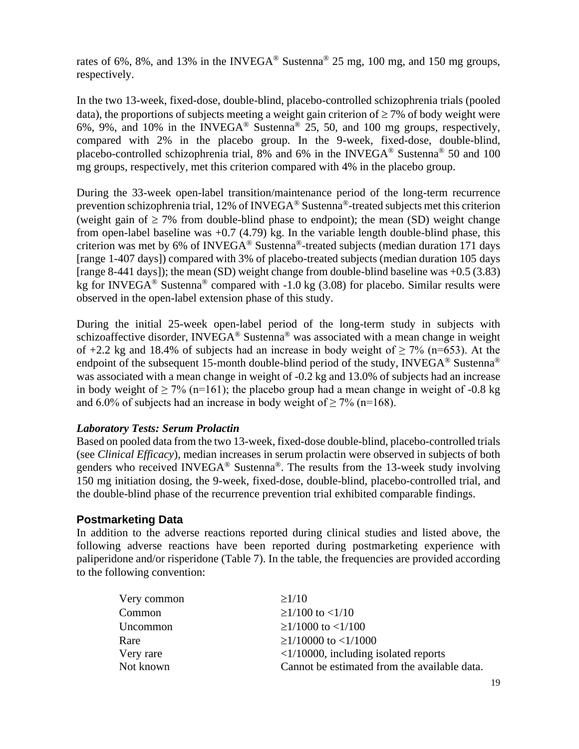rates of 6%, 8%, and 13% in the INVEGA<sup>®</sup> Sustenna<sup>®</sup> 25 mg, 100 mg, and 150 mg groups, respectively.

In the two 13-week, fixed-dose, double-blind, placebo-controlled schizophrenia trials (pooled data), the proportions of subjects meeting a weight gain criterion of  $\geq$  7% of body weight were 6%, 9%, and 10% in the INVEGA® Sustenna® 25, 50, and 100 mg groups, respectively, compared with 2% in the placebo group. In the 9-week, fixed-dose, double-blind, placebo-controlled schizophrenia trial, 8% and 6% in the INVEGA<sup>®</sup> Sustenna<sup>®</sup> 50 and 100 mg groups, respectively, met this criterion compared with 4% in the placebo group.

During the 33-week open-label transition/maintenance period of the long-term recurrence prevention schizophrenia trial, 12% of INVEGA® Sustenna®-treated subjects met this criterion (weight gain of  $\geq$  7% from double-blind phase to endpoint); the mean (SD) weight change from open-label baseline was  $+0.7$  (4.79) kg. In the variable length double-blind phase, this criterion was met by 6% of INVEGA® Sustenna®-treated subjects (median duration 171 days [range 1-407 days]) compared with 3% of placebo-treated subjects (median duration 105 days [range 8-441 days]); the mean (SD) weight change from double-blind baseline was  $+0.5$  (3.83) kg for INVEGA<sup>®</sup> Sustenna<sup>®</sup> compared with  $-1.0$  kg (3.08) for placebo. Similar results were observed in the open-label extension phase of this study.

During the initial 25-week open-label period of the long-term study in subjects with schizoaffective disorder, INVEGA<sup>®</sup> Sustenna<sup>®</sup> was associated with a mean change in weight of +2.2 kg and 18.4% of subjects had an increase in body weight of  $\geq$  7% (n=653). At the endpoint of the subsequent 15-month double-blind period of the study, INVEGA<sup>®</sup> Sustenna<sup>®</sup> was associated with a mean change in weight of -0.2 kg and 13.0% of subjects had an increase in body weight of  $\geq 7\%$  (n=161); the placebo group had a mean change in weight of -0.8 kg and 6.0% of subjects had an increase in body weight of  $\geq$  7% (n=168).

### *Laboratory Tests: Serum Prolactin*

Based on pooled data from the two 13-week, fixed-dose double-blind, placebo-controlled trials (see *Clinical Efficacy*), median increases in serum prolactin were observed in subjects of both genders who received INVEGA<sup>®</sup> Sustenna<sup>®</sup>. The results from the 13-week study involving 150 mg initiation dosing, the 9-week, fixed-dose, double-blind, placebo-controlled trial, and the double-blind phase of the recurrence prevention trial exhibited comparable findings.

### **Postmarketing Data**

In addition to the adverse reactions reported during clinical studies and listed above, the following adverse reactions have been reported during postmarketing experience with paliperidone and/or risperidone (Table 7). In the table, the frequencies are provided according to the following convention:

| $\geq$ 1/10                                    |
|------------------------------------------------|
| $\geq$ 1/100 to <1/10                          |
| $\geq$ 1/1000 to <1/100                        |
| $\geq$ 1/10000 to <1/1000                      |
| $\langle 1/10000$ , including isolated reports |
| Cannot be estimated from the available data.   |
|                                                |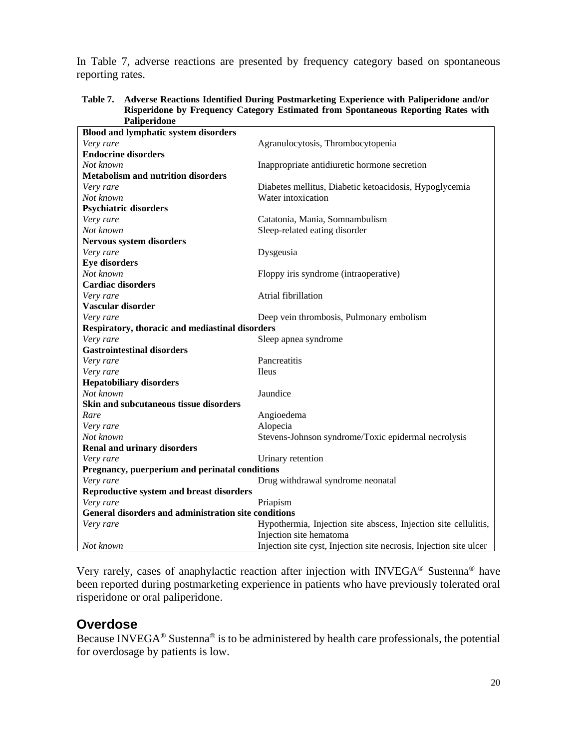In Table 7, adverse reactions are presented by frequency category based on spontaneous reporting rates.

| Table 7. Adverse Reactions Identified During Postmarketing Experience with Paliperidone and/or |
|------------------------------------------------------------------------------------------------|
| Risperidone by Frequency Category Estimated from Spontaneous Reporting Rates with              |
| <b>Paliperidone</b>                                                                            |

| <b>Blood and lymphatic system disorders</b>          |                                                                    |
|------------------------------------------------------|--------------------------------------------------------------------|
| Very rare                                            | Agranulocytosis, Thrombocytopenia                                  |
| <b>Endocrine disorders</b>                           |                                                                    |
| Not known                                            | Inappropriate antidiuretic hormone secretion                       |
| <b>Metabolism and nutrition disorders</b>            |                                                                    |
| Very rare                                            | Diabetes mellitus, Diabetic ketoacidosis, Hypoglycemia             |
| Not known                                            | Water intoxication                                                 |
| <b>Psychiatric disorders</b>                         |                                                                    |
| Very rare                                            | Catatonia, Mania, Somnambulism                                     |
| Not known                                            | Sleep-related eating disorder                                      |
| Nervous system disorders                             |                                                                    |
| Very rare                                            | Dysgeusia                                                          |
| <b>Eye disorders</b>                                 |                                                                    |
| Not known                                            | Floppy iris syndrome (intraoperative)                              |
| <b>Cardiac disorders</b>                             |                                                                    |
| Very rare                                            | Atrial fibrillation                                                |
| Vascular disorder                                    |                                                                    |
| Very rare                                            | Deep vein thrombosis, Pulmonary embolism                           |
| Respiratory, thoracic and mediastinal disorders      |                                                                    |
| Very rare                                            | Sleep apnea syndrome                                               |
| <b>Gastrointestinal disorders</b>                    |                                                                    |
| Very rare                                            | Pancreatitis                                                       |
| Very rare                                            | <b>Ileus</b>                                                       |
| <b>Hepatobiliary disorders</b>                       |                                                                    |
| Not known                                            | Jaundice                                                           |
| Skin and subcutaneous tissue disorders               |                                                                    |
| Rare                                                 | Angioedema                                                         |
| Very rare                                            | Alopecia                                                           |
| Not known                                            | Stevens-Johnson syndrome/Toxic epidermal necrolysis                |
| <b>Renal and urinary disorders</b>                   |                                                                    |
| Very rare                                            | Urinary retention                                                  |
| Pregnancy, puerperium and perinatal conditions       |                                                                    |
| Very rare                                            | Drug withdrawal syndrome neonatal                                  |
| Reproductive system and breast disorders             |                                                                    |
| Very rare                                            | Priapism                                                           |
| General disorders and administration site conditions |                                                                    |
| Very rare                                            | Hypothermia, Injection site abscess, Injection site cellulitis,    |
|                                                      | Injection site hematoma                                            |
| Not known                                            | Injection site cyst, Injection site necrosis, Injection site ulcer |

Very rarely, cases of anaphylactic reaction after injection with INVEGA® Sustenna® have been reported during postmarketing experience in patients who have previously tolerated oral risperidone or oral paliperidone.

### **Overdose**

Because INVEGA® Sustenna® is to be administered by health care professionals, the potential for overdosage by patients is low.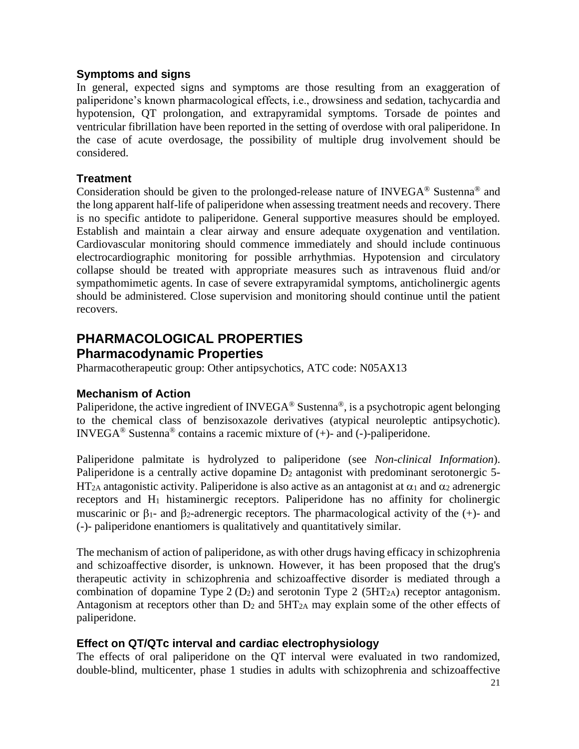### **Symptoms and signs**

In general, expected signs and symptoms are those resulting from an exaggeration of paliperidone's known pharmacological effects, i.e., drowsiness and sedation, tachycardia and hypotension, QT prolongation, and extrapyramidal symptoms. Torsade de pointes and ventricular fibrillation have been reported in the setting of overdose with oral paliperidone. In the case of acute overdosage, the possibility of multiple drug involvement should be considered.

## **Treatment**

Consideration should be given to the prolonged-release nature of INVEGA® Sustenna® and the long apparent half-life of paliperidone when assessing treatment needs and recovery. There is no specific antidote to paliperidone. General supportive measures should be employed. Establish and maintain a clear airway and ensure adequate oxygenation and ventilation. Cardiovascular monitoring should commence immediately and should include continuous electrocardiographic monitoring for possible arrhythmias. Hypotension and circulatory collapse should be treated with appropriate measures such as intravenous fluid and/or sympathomimetic agents. In case of severe extrapyramidal symptoms, anticholinergic agents should be administered. Close supervision and monitoring should continue until the patient recovers.

# **PHARMACOLOGICAL PROPERTIES Pharmacodynamic Properties**

Pharmacotherapeutic group: Other antipsychotics, ATC code: N05AX13

### **Mechanism of Action**

Paliperidone, the active ingredient of INVEGA<sup>®</sup> Sustenna<sup>®</sup>, is a psychotropic agent belonging to the chemical class of benzisoxazole derivatives (atypical neuroleptic antipsychotic). INVEGA<sup>®</sup> Sustenna<sup>®</sup> contains a racemic mixture of  $(+)$ - and  $(-)$ -paliperidone.

Paliperidone palmitate is hydrolyzed to paliperidone (see *Non-clinical Information*). Paliperidone is a centrally active dopamine  $D_2$  antagonist with predominant serotonergic 5-HT<sub>2A</sub> antagonistic activity. Paliperidone is also active as an antagonist at  $\alpha_1$  and  $\alpha_2$  adrenergic receptors and H<sup>1</sup> histaminergic receptors. Paliperidone has no affinity for cholinergic muscarinic or  $\beta_1$ - and  $\beta_2$ -adrenergic receptors. The pharmacological activity of the (+)- and (-)- paliperidone enantiomers is qualitatively and quantitatively similar.

The mechanism of action of paliperidone, as with other drugs having efficacy in schizophrenia and schizoaffective disorder, is unknown. However, it has been proposed that the drug's therapeutic activity in schizophrenia and schizoaffective disorder is mediated through a combination of dopamine Type 2 ( $D_2$ ) and serotonin Type 2 ( $5HT<sub>2A</sub>$ ) receptor antagonism. Antagonism at receptors other than  $D_2$  and  $5HT_{2A}$  may explain some of the other effects of paliperidone.

## **Effect on QT/QTc interval and cardiac electrophysiology**

The effects of oral paliperidone on the QT interval were evaluated in two randomized, double-blind, multicenter, phase 1 studies in adults with schizophrenia and schizoaffective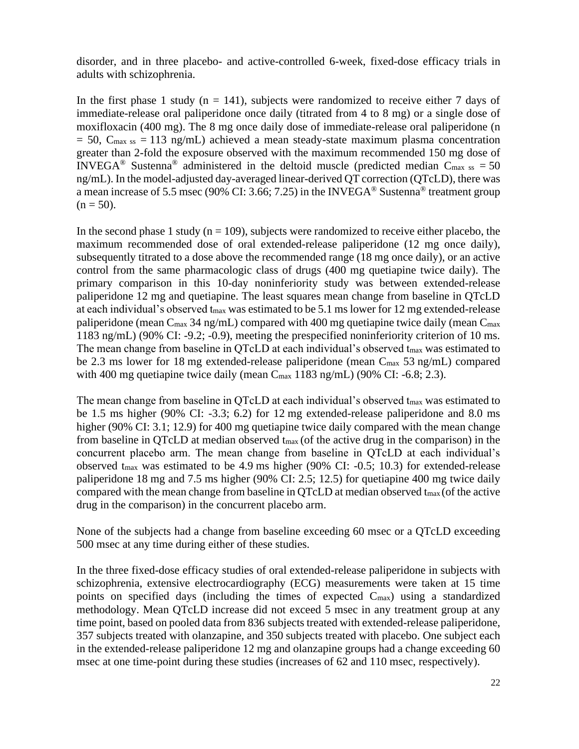disorder, and in three placebo- and active-controlled 6-week, fixed-dose efficacy trials in adults with schizophrenia.

In the first phase 1 study ( $n = 141$ ), subjects were randomized to receive either 7 days of immediate-release oral paliperidone once daily (titrated from 4 to 8 mg) or a single dose of moxifloxacin (400 mg). The 8 mg once daily dose of immediate-release oral paliperidone (n  $= 50$ , C<sub>max ss</sub>  $= 113$  ng/mL) achieved a mean steady-state maximum plasma concentration greater than 2-fold the exposure observed with the maximum recommended 150 mg dose of INVEGA<sup>®</sup> Sustenna<sup>®</sup> administered in the deltoid muscle (predicted median C<sub>max ss</sub> = 50 ng/mL). In the model-adjusted day-averaged linear-derived QT correction (QTcLD), there was a mean increase of 5.5 msec (90% CI: 3.66; 7.25) in the INVEGA<sup>®</sup> Sustenna<sup>®</sup> treatment group  $(n = 50)$ .

In the second phase 1 study  $(n = 109)$ , subjects were randomized to receive either placebo, the maximum recommended dose of oral extended-release paliperidone (12 mg once daily), subsequently titrated to a dose above the recommended range (18 mg once daily), or an active control from the same pharmacologic class of drugs (400 mg quetiapine twice daily). The primary comparison in this 10-day noninferiority study was between extended-release paliperidone 12 mg and quetiapine. The least squares mean change from baseline in QTcLD at each individual's observed tmax was estimated to be 5.1 ms lower for 12 mg extended-release paliperidone (mean  $C_{\text{max}}$  34 ng/mL) compared with 400 mg quetiapine twice daily (mean  $C_{\text{max}}$ 1183 ng/mL) (90% CI: -9.2; -0.9), meeting the prespecified noninferiority criterion of 10 ms. The mean change from baseline in QTcLD at each individual's observed tmax was estimated to be 2.3 ms lower for 18 mg extended-release paliperidone (mean C<sub>max</sub> 53 ng/mL) compared with 400 mg quetiapine twice daily (mean C<sub>max</sub> 1183 ng/mL) (90% CI: -6.8; 2.3).

The mean change from baseline in QTcLD at each individual's observed t<sub>max</sub> was estimated to be 1.5 ms higher (90% CI: -3.3; 6.2) for 12 mg extended-release paliperidone and 8.0 ms higher (90% CI: 3.1; 12.9) for 400 mg quetiapine twice daily compared with the mean change from baseline in QTcLD at median observed tmax (of the active drug in the comparison) in the concurrent placebo arm. The mean change from baseline in QTcLD at each individual's observed  $t_{\text{max}}$  was estimated to be 4.9 ms higher (90% CI: -0.5; 10.3) for extended-release paliperidone 18 mg and 7.5 ms higher (90% CI: 2.5; 12.5) for quetiapine 400 mg twice daily compared with the mean change from baseline in QTcLD at median observed t<sub>max</sub> (of the active drug in the comparison) in the concurrent placebo arm.

None of the subjects had a change from baseline exceeding 60 msec or a QTcLD exceeding 500 msec at any time during either of these studies.

In the three fixed-dose efficacy studies of oral extended-release paliperidone in subjects with schizophrenia, extensive electrocardiography (ECG) measurements were taken at 15 time points on specified days (including the times of expected Cmax) using a standardized methodology. Mean QTcLD increase did not exceed 5 msec in any treatment group at any time point, based on pooled data from 836 subjects treated with extended-release paliperidone, 357 subjects treated with olanzapine, and 350 subjects treated with placebo. One subject each in the extended-release paliperidone 12 mg and olanzapine groups had a change exceeding 60 msec at one time-point during these studies (increases of 62 and 110 msec, respectively).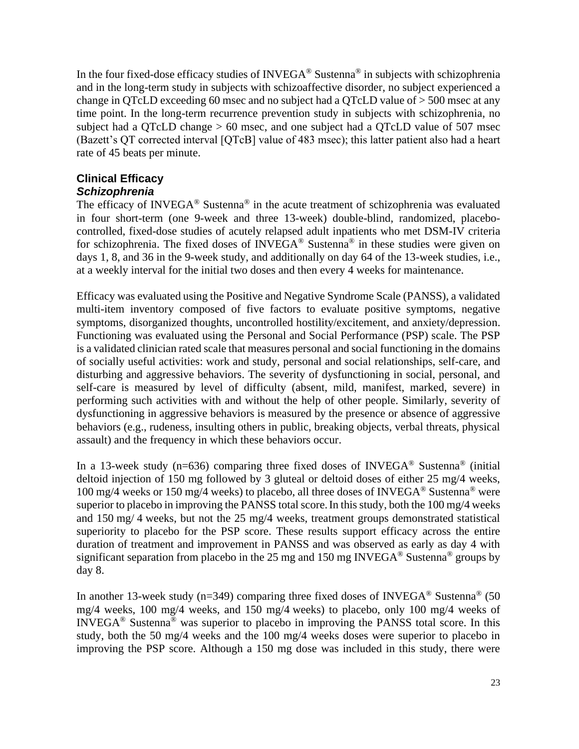In the four fixed-dose efficacy studies of  $INVEGA^{\circledast}$  Sustenna<sup>®</sup> in subjects with schizophrenia and in the long-term study in subjects with schizoaffective disorder, no subject experienced a change in QTcLD exceeding 60 msec and no subject had a QTcLD value of > 500 msec at any time point. In the long-term recurrence prevention study in subjects with schizophrenia, no subject had a QTcLD change  $> 60$  msec, and one subject had a QTcLD value of 507 msec (Bazett's QT corrected interval [QTcB] value of 483 msec); this latter patient also had a heart rate of 45 beats per minute.

### **Clinical Efficacy** *Schizophrenia*

The efficacy of INVEGA<sup>®</sup> Sustenna<sup>®</sup> in the acute treatment of schizophrenia was evaluated in four short-term (one 9-week and three 13-week) double-blind, randomized, placebocontrolled, fixed-dose studies of acutely relapsed adult inpatients who met DSM-IV criteria for schizophrenia. The fixed doses of INVEGA® Sustenna® in these studies were given on days 1, 8, and 36 in the 9-week study, and additionally on day 64 of the 13-week studies, i.e., at a weekly interval for the initial two doses and then every 4 weeks for maintenance.

Efficacy was evaluated using the Positive and Negative Syndrome Scale (PANSS), a validated multi-item inventory composed of five factors to evaluate positive symptoms, negative symptoms, disorganized thoughts, uncontrolled hostility/excitement, and anxiety/depression. Functioning was evaluated using the Personal and Social Performance (PSP) scale. The PSP is a validated clinician rated scale that measures personal and social functioning in the domains of socially useful activities: work and study, personal and social relationships, self-care, and disturbing and aggressive behaviors. The severity of dysfunctioning in social, personal, and self-care is measured by level of difficulty (absent, mild, manifest, marked, severe) in performing such activities with and without the help of other people. Similarly, severity of dysfunctioning in aggressive behaviors is measured by the presence or absence of aggressive behaviors (e.g., rudeness, insulting others in public, breaking objects, verbal threats, physical assault) and the frequency in which these behaviors occur.

In a 13-week study (n=636) comparing three fixed doses of INVEGA<sup>®</sup> Sustenna<sup>®</sup> (initial deltoid injection of 150 mg followed by 3 gluteal or deltoid doses of either 25 mg/4 weeks, 100 mg/4 weeks or 150 mg/4 weeks) to placebo, all three doses of INVEGA<sup>®</sup> Sustenna<sup>®</sup> were superior to placebo in improving the PANSS total score. In this study, both the 100 mg/4 weeks and 150 mg/ 4 weeks, but not the 25 mg/4 weeks, treatment groups demonstrated statistical superiority to placebo for the PSP score. These results support efficacy across the entire duration of treatment and improvement in PANSS and was observed as early as day 4 with significant separation from placebo in the 25 mg and 150 mg INVEGA<sup>®</sup> Sustenna<sup>®</sup> groups by day 8.

In another 13-week study (n=349) comparing three fixed doses of INVEGA® Sustenna® (50 mg/4 weeks, 100 mg/4 weeks, and 150 mg/4 weeks) to placebo, only 100 mg/4 weeks of INVEGA® Sustenna® was superior to placebo in improving the PANSS total score. In this study, both the 50 mg/4 weeks and the 100 mg/4 weeks doses were superior to placebo in improving the PSP score. Although a 150 mg dose was included in this study, there were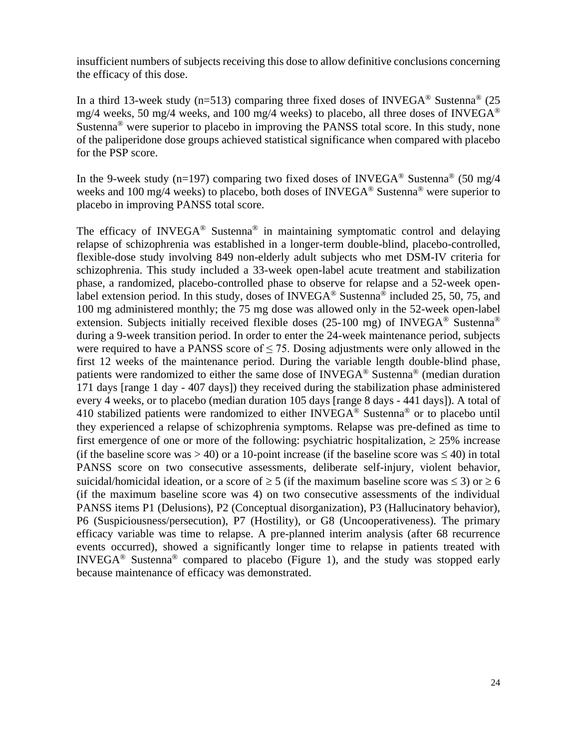insufficient numbers of subjects receiving this dose to allow definitive conclusions concerning the efficacy of this dose.

In a third 13-week study (n=513) comparing three fixed doses of INVEGA<sup>®</sup> Sustenna<sup>®</sup> (25) mg/4 weeks, 50 mg/4 weeks, and 100 mg/4 weeks) to placebo, all three doses of INVEGA<sup>®</sup> Sustenna® were superior to placebo in improving the PANSS total score. In this study, none of the paliperidone dose groups achieved statistical significance when compared with placebo for the PSP score.

In the 9-week study (n=197) comparing two fixed doses of INVEGA<sup>®</sup> Sustenna<sup>®</sup> (50 mg/4) weeks and 100 mg/4 weeks) to placebo, both doses of  $INVEGA^{\circledast}$  Sustenna<sup>®</sup> were superior to placebo in improving PANSS total score.

The efficacy of INVEGA<sup>®</sup> Sustenna<sup>®</sup> in maintaining symptomatic control and delaying relapse of schizophrenia was established in a longer-term double-blind, placebo-controlled, flexible-dose study involving 849 non-elderly adult subjects who met DSM-IV criteria for schizophrenia. This study included a 33-week open-label acute treatment and stabilization phase, a randomized, placebo-controlled phase to observe for relapse and a 52-week openlabel extension period. In this study, doses of INVEGA<sup>®</sup> Sustenna<sup>®</sup> included 25, 50, 75, and 100 mg administered monthly; the 75 mg dose was allowed only in the 52-week open-label extension. Subjects initially received flexible doses (25-100 mg) of INVEGA<sup>®</sup> Sustenna<sup>®</sup> during a 9-week transition period. In order to enter the 24-week maintenance period, subjects were required to have a PANSS score of  $\leq$  75. Dosing adjustments were only allowed in the first 12 weeks of the maintenance period. During the variable length double-blind phase, patients were randomized to either the same dose of INVEGA® Sustenna® (median duration 171 days [range 1 day - 407 days]) they received during the stabilization phase administered every 4 weeks, or to placebo (median duration 105 days [range 8 days - 441 days]). A total of 410 stabilized patients were randomized to either  $INVEGA^{\circledast}$  Sustenna<sup>®</sup> or to placebo until they experienced a relapse of schizophrenia symptoms. Relapse was pre-defined as time to first emergence of one or more of the following: psychiatric hospitalization,  $\geq 25\%$  increase (if the baseline score was  $>$  40) or a 10-point increase (if the baseline score was  $\leq$  40) in total PANSS score on two consecutive assessments, deliberate self-injury, violent behavior, suicidal/homicidal ideation, or a score of  $\geq 5$  (if the maximum baseline score was  $\leq 3$ ) or  $\geq 6$ (if the maximum baseline score was 4) on two consecutive assessments of the individual PANSS items P1 (Delusions), P2 (Conceptual disorganization), P3 (Hallucinatory behavior), P6 (Suspiciousness/persecution), P7 (Hostility), or G8 (Uncooperativeness). The primary efficacy variable was time to relapse. A pre-planned interim analysis (after 68 recurrence events occurred), showed a significantly longer time to relapse in patients treated with INVEGA<sup>®</sup> Sustenna<sup>®</sup> compared to placebo (Figure 1), and the study was stopped early because maintenance of efficacy was demonstrated.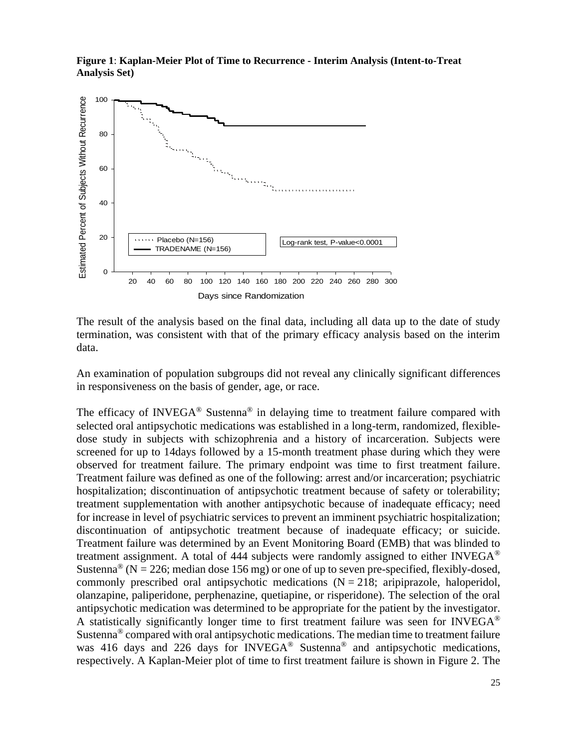

**Figure 1**: **Kaplan-Meier Plot of Time to Recurrence - Interim Analysis (Intent-to-Treat Analysis Set)**

The result of the analysis based on the final data, including all data up to the date of study termination, was consistent with that of the primary efficacy analysis based on the interim data.

An examination of population subgroups did not reveal any clinically significant differences in responsiveness on the basis of gender, age, or race.

The efficacy of INVEGA<sup>®</sup> Sustenna<sup>®</sup> in delaying time to treatment failure compared with selected oral antipsychotic medications was established in a long-term, randomized, flexibledose study in subjects with schizophrenia and a history of incarceration. Subjects were screened for up to 14days followed by a 15-month treatment phase during which they were observed for treatment failure. The primary endpoint was time to first treatment failure. Treatment failure was defined as one of the following: arrest and/or incarceration; psychiatric hospitalization; discontinuation of antipsychotic treatment because of safety or tolerability; treatment supplementation with another antipsychotic because of inadequate efficacy; need for increase in level of psychiatric services to prevent an imminent psychiatric hospitalization; discontinuation of antipsychotic treatment because of inadequate efficacy; or suicide. Treatment failure was determined by an Event Monitoring Board (EMB) that was blinded to treatment assignment. A total of 444 subjects were randomly assigned to either INVEGA<sup>®</sup> Sustenna<sup>®</sup> (N = 226; median dose 156 mg) or one of up to seven pre-specified, flexibly-dosed, commonly prescribed oral antipsychotic medications  $(N = 218)$ ; aripiprazole, haloperidol, olanzapine, paliperidone, perphenazine, quetiapine, or risperidone). The selection of the oral antipsychotic medication was determined to be appropriate for the patient by the investigator. A statistically significantly longer time to first treatment failure was seen for INVEGA<sup>®</sup> Sustenna® compared with oral antipsychotic medications. The median time to treatment failure was 416 days and 226 days for INVEGA<sup>®</sup> Sustenna<sup>®</sup> and antipsychotic medications, respectively. A Kaplan-Meier plot of time to first treatment failure is shown in Figure 2. The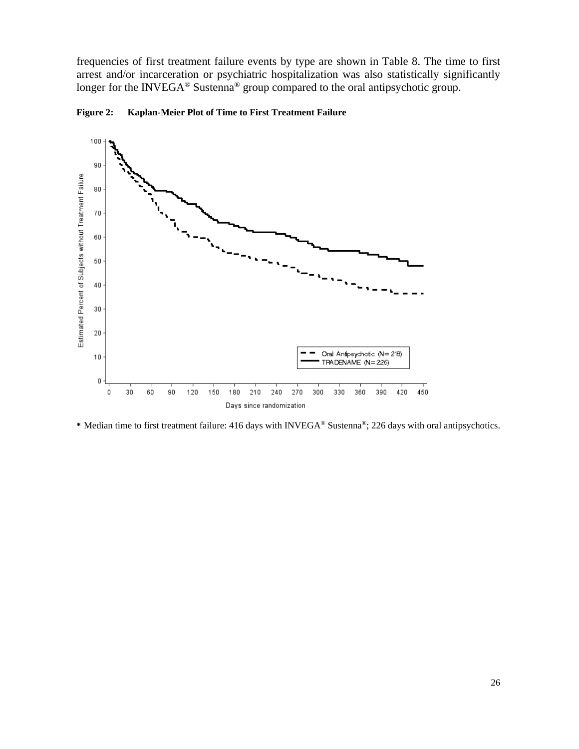frequencies of first treatment failure events by type are shown in Table 8. The time to first arrest and/or incarceration or psychiatric hospitalization was also statistically significantly longer for the INVEGA® Sustenna® group compared to the oral antipsychotic group.



**Figure 2: Kaplan-Meier Plot of Time to First Treatment Failure**

**\*** Median time to first treatment failure: 416 days with INVEGA® Sustenna®; 226 days with oral antipsychotics.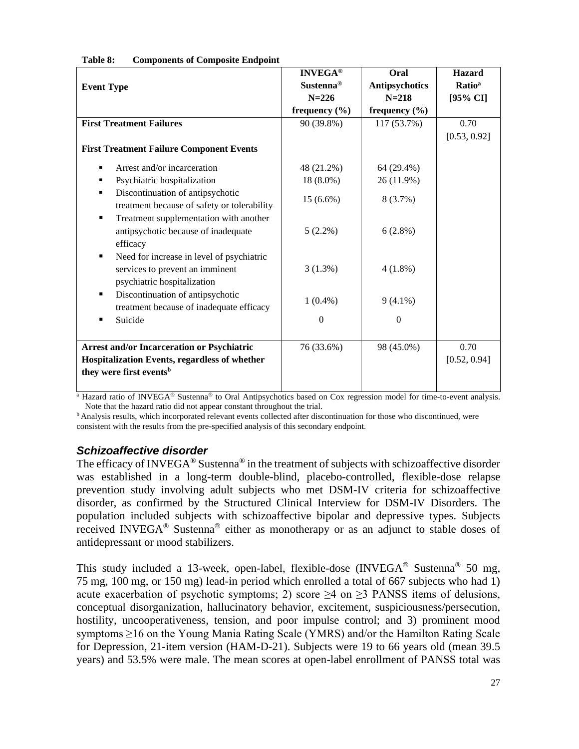|                                                                                                                                           | $\mathbf{INVEGA}^\circledast$ | Oral              | <b>Hazard</b>            |
|-------------------------------------------------------------------------------------------------------------------------------------------|-------------------------------|-------------------|--------------------------|
| <b>Event Type</b>                                                                                                                         | Sustenna <sup>®</sup>         | Antipsychotics    | <b>Ratio<sup>a</sup></b> |
|                                                                                                                                           | $N = 226$                     | $N = 218$         | [95% CI]                 |
|                                                                                                                                           | frequency $(\% )$             | frequency $(\% )$ |                          |
| <b>First Treatment Failures</b>                                                                                                           | 90 (39.8%)                    | 117 (53.7%)       | 0.70                     |
|                                                                                                                                           |                               |                   | [0.53, 0.92]             |
| <b>First Treatment Failure Component Events</b>                                                                                           |                               |                   |                          |
| Arrest and/or incarceration                                                                                                               | 48 (21.2%)                    | 64 (29.4%)        |                          |
| Psychiatric hospitalization<br>٠                                                                                                          | 18 (8.0%)                     | 26 (11.9%)        |                          |
| Discontinuation of antipsychotic<br>٠<br>treatment because of safety or tolerability                                                      | $15(6.6\%)$                   | 8(3.7%)           |                          |
| Treatment supplementation with another<br>٠<br>antipsychotic because of inadequate<br>efficacy                                            | $5(2.2\%)$                    | 6(2.8%)           |                          |
| Need for increase in level of psychiatric<br>٠<br>services to prevent an imminent<br>psychiatric hospitalization                          | 3(1.3%)                       | $4(1.8\%)$        |                          |
| Discontinuation of antipsychotic<br>٠<br>treatment because of inadequate efficacy                                                         | $1(0.4\%)$                    | $9(4.1\%)$        |                          |
| Suicide<br>٠                                                                                                                              | $\theta$                      | $\Omega$          |                          |
| <b>Arrest and/or Incarceration or Psychiatric</b><br>Hospitalization Events, regardless of whether<br>they were first events <sup>b</sup> | 76 (33.6%)                    | 98 (45.0%)        | 0.70<br>[0.52, 0.94]     |

**Table 8: Components of Composite Endpoint**

<sup>a</sup> Hazard ratio of INVEGA® Sustenna® to Oral Antipsychotics based on Cox regression model for time-to-event analysis. Note that the hazard ratio did not appear constant throughout the trial.

**b** Analysis results, which incorporated relevant events collected after discontinuation for those who discontinued, were consistent with the results from the pre-specified analysis of this secondary endpoint.

### *Schizoaffective disorder*

The efficacy of INVEGA<sup>®</sup> Sustenna<sup>®</sup> in the treatment of subjects with schizoaffective disorder was established in a long-term double-blind, placebo-controlled, flexible-dose relapse prevention study involving adult subjects who met DSM-IV criteria for schizoaffective disorder, as confirmed by the Structured Clinical Interview for DSM-IV Disorders. The population included subjects with schizoaffective bipolar and depressive types. Subjects received INVEGA® Sustenna® either as monotherapy or as an adjunct to stable doses of antidepressant or mood stabilizers.

This study included a 13-week, open-label, flexible-dose (INVEGA® Sustenna® 50 mg, 75 mg, 100 mg, or 150 mg) lead-in period which enrolled a total of 667 subjects who had 1) acute exacerbation of psychotic symptoms; 2) score  $\geq$ 4 on  $\geq$ 3 PANSS items of delusions, conceptual disorganization, hallucinatory behavior, excitement, suspiciousness/persecution, hostility, uncooperativeness, tension, and poor impulse control; and 3) prominent mood symptoms ≥16 on the Young Mania Rating Scale (YMRS) and/or the Hamilton Rating Scale for Depression, 21-item version (HAM-D-21). Subjects were 19 to 66 years old (mean 39.5 years) and 53.5% were male. The mean scores at open-label enrollment of PANSS total was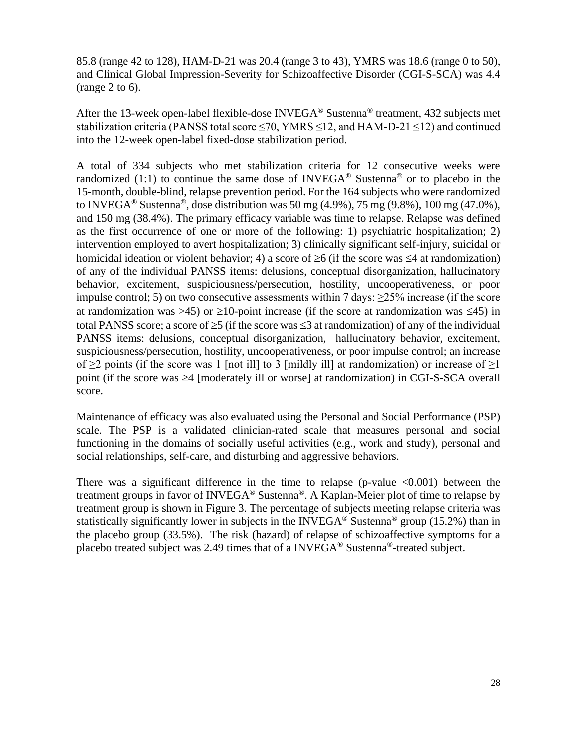85.8 (range 42 to 128), HAM-D-21 was 20.4 (range 3 to 43), YMRS was 18.6 (range 0 to 50), and Clinical Global Impression-Severity for Schizoaffective Disorder (CGI-S-SCA) was 4.4 (range 2 to 6).

After the 13-week open-label flexible-dose INVEGA® Sustenna® treatment, 432 subjects met stabilization criteria (PANSS total score  $\leq$ 70, YMRS  $\leq$ 12, and HAM-D-21  $\leq$ 12) and continued into the 12-week open-label fixed-dose stabilization period.

A total of 334 subjects who met stabilization criteria for 12 consecutive weeks were randomized (1:1) to continue the same dose of INVEGA<sup>®</sup> Sustenna<sup>®</sup> or to placebo in the 15-month, double-blind, relapse prevention period. For the 164 subjects who were randomized to INVEGA<sup>®</sup> Sustenna<sup>®</sup>, dose distribution was 50 mg (4.9%), 75 mg (9.8%), 100 mg (47.0%), and 150 mg (38.4%). The primary efficacy variable was time to relapse. Relapse was defined as the first occurrence of one or more of the following: 1) psychiatric hospitalization; 2) intervention employed to avert hospitalization; 3) clinically significant self-injury, suicidal or homicidal ideation or violent behavior; 4) a score of  $\geq 6$  (if the score was  $\leq 4$  at randomization) of any of the individual PANSS items: delusions, conceptual disorganization, hallucinatory behavior, excitement, suspiciousness/persecution, hostility, uncooperativeness, or poor impulse control; 5) on two consecutive assessments within 7 days:  $\geq$ 25% increase (if the score at randomization was >45) or  $\geq$ 10-point increase (if the score at randomization was  $\leq$ 45) in total PANSS score; a score of  $\geq$ 5 (if the score was  $\leq$ 3 at randomization) of any of the individual PANSS items: delusions, conceptual disorganization, hallucinatory behavior, excitement, suspiciousness/persecution, hostility, uncooperativeness, or poor impulse control; an increase of  $\geq$ 2 points (if the score was 1 [not ill] to 3 [mildly ill] at randomization) or increase of  $\geq$ 1 point (if the score was  $\geq 4$  [moderately ill or worse] at randomization) in CGI-S-SCA overall score.

Maintenance of efficacy was also evaluated using the Personal and Social Performance (PSP) scale. The PSP is a validated clinician-rated scale that measures personal and social functioning in the domains of socially useful activities (e.g., work and study), personal and social relationships, self-care, and disturbing and aggressive behaviors.

There was a significant difference in the time to relapse (p-value  $\langle 0.001 \rangle$ ) between the treatment groups in favor of INVEGA<sup>®</sup> Sustenna<sup>®</sup>. A Kaplan-Meier plot of time to relapse by treatment group is shown in Figure 3. The percentage of subjects meeting relapse criteria was statistically significantly lower in subjects in the INVEGA<sup>®</sup> Sustenna<sup>®</sup> group (15.2%) than in the placebo group (33.5%). The risk (hazard) of relapse of schizoaffective symptoms for a placebo treated subject was 2.49 times that of a INVEGA<sup>®</sup> Sustenna<sup>®</sup>-treated subject.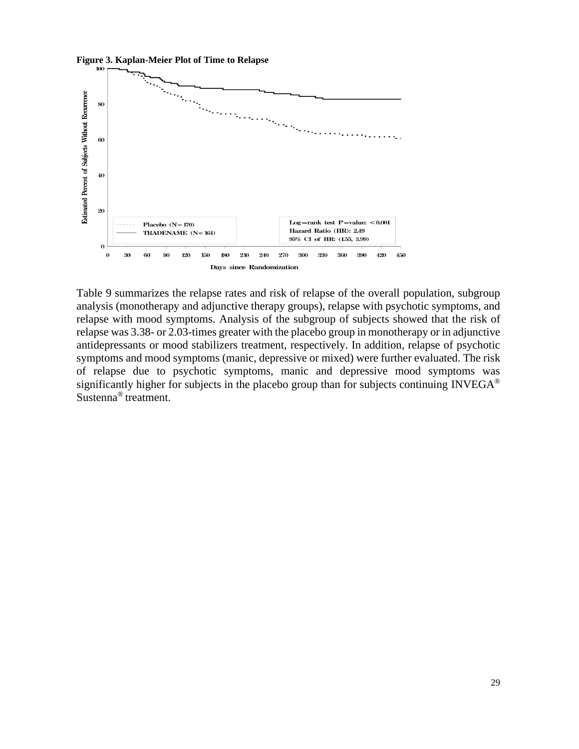**Figure 3. Kaplan-Meier Plot of Time to Relapse**



Table 9 summarizes the relapse rates and risk of relapse of the overall population, subgroup analysis (monotherapy and adjunctive therapy groups), relapse with psychotic symptoms, and relapse with mood symptoms. Analysis of the subgroup of subjects showed that the risk of relapse was 3.38- or 2.03-times greater with the placebo group in monotherapy or in adjunctive antidepressants or mood stabilizers treatment, respectively. In addition, relapse of psychotic symptoms and mood symptoms (manic, depressive or mixed) were further evaluated. The risk of relapse due to psychotic symptoms, manic and depressive mood symptoms was significantly higher for subjects in the placebo group than for subjects continuing  $INVEGA^{\circledast}$ Sustenna® treatment.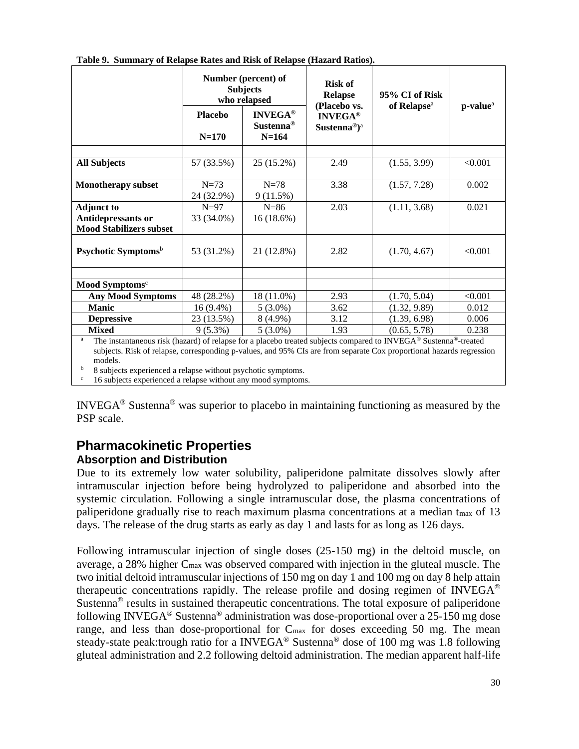|                                                                                                                                                                                                                                                                |                             | Number (percent) of<br><b>Subjects</b><br>who relapsed | <b>Risk of</b><br><b>Relapse</b><br>(Placebo vs. | 95% CI of Risk          | p-value <sup>a</sup> |
|----------------------------------------------------------------------------------------------------------------------------------------------------------------------------------------------------------------------------------------------------------------|-----------------------------|--------------------------------------------------------|--------------------------------------------------|-------------------------|----------------------|
|                                                                                                                                                                                                                                                                | <b>Placebo</b><br>$N = 170$ | <b>INVEGA®</b><br>Sustenna <sup>®</sup><br>$N = 164$   | <b>INVEGA®</b><br>Sustenna®) <sup>a</sup>        | of Relapse <sup>a</sup> |                      |
| <b>All Subjects</b>                                                                                                                                                                                                                                            | 57 (33.5%)                  | 25 (15.2%)                                             | 2.49                                             | (1.55, 3.99)            | < 0.001              |
| <b>Monotherapy subset</b>                                                                                                                                                                                                                                      | $N=73$<br>24 (32.9%)        | $N=78$<br>9(11.5%)                                     | 3.38                                             | (1.57, 7.28)            | 0.002                |
| <b>Adjunct to</b><br>Antidepressants or<br><b>Mood Stabilizers subset</b>                                                                                                                                                                                      | $N=97$<br>33 (34.0%)        | $N=86$<br>16(18.6%)                                    | 2.03                                             | (1.11, 3.68)            | 0.021                |
| Psychotic Symptoms <sup>b</sup>                                                                                                                                                                                                                                | 53 (31.2%)                  | 21 (12.8%)                                             | 2.82                                             | (1.70, 4.67)            | < 0.001              |
| Mood Symptoms <sup>c</sup>                                                                                                                                                                                                                                     |                             |                                                        |                                                  |                         |                      |
| <b>Any Mood Symptoms</b>                                                                                                                                                                                                                                       | 48 (28.2%)                  | 18 (11.0%)                                             | 2.93                                             | (1.70, 5.04)            | < 0.001              |
| <b>Manic</b>                                                                                                                                                                                                                                                   | $16(9.4\%)$                 | $5(3.0\%)$                                             | 3.62                                             | (1.32, 9.89)            | 0.012                |
| <b>Depressive</b>                                                                                                                                                                                                                                              | 23 (13.5%)                  | 8 (4.9%)                                               | 3.12                                             | (1.39, 6.98)            | 0.006                |
| <b>Mixed</b>                                                                                                                                                                                                                                                   | $9(5.3\%)$                  | $5(3.0\%)$                                             | 1.93                                             | (0.65, 5.78)            | 0.238                |
| The instantaneous risk (hazard) of relapse for a placebo treated subjects compared to INVEGA® Sustenna®-treated<br>$\rm{a}$<br>subjects. Risk of relapse, corresponding p-values, and 95% CIs are from separate Cox proportional hazards regression<br>models. |                             |                                                        |                                                  |                         |                      |

**Table 9. Summary of Relapse Rates and Risk of Relapse (Hazard Ratios).**

8 subjects experienced a relapse without psychotic symptoms.

16 subjects experienced a relapse without any mood symptoms.

INVEGA® Sustenna® was superior to placebo in maintaining functioning as measured by the PSP scale.

## **Pharmacokinetic Properties Absorption and Distribution**

Due to its extremely low water solubility, paliperidone palmitate dissolves slowly after intramuscular injection before being hydrolyzed to paliperidone and absorbed into the systemic circulation. Following a single intramuscular dose, the plasma concentrations of paliperidone gradually rise to reach maximum plasma concentrations at a median t<sub>max</sub> of 13 days. The release of the drug starts as early as day 1 and lasts for as long as 126 days.

Following intramuscular injection of single doses (25-150 mg) in the deltoid muscle, on average, a 28% higher Cmax was observed compared with injection in the gluteal muscle. The two initial deltoid intramuscular injections of 150 mg on day 1 and 100 mg on day 8 help attain therapeutic concentrations rapidly. The release profile and dosing regimen of INVEGA<sup>®</sup> Sustenna® results in sustained therapeutic concentrations. The total exposure of paliperidone following INVEGA® Sustenna® administration was dose-proportional over a 25-150 mg dose range, and less than dose-proportional for C<sub>max</sub> for doses exceeding 50 mg. The mean steady-state peak:trough ratio for a INVEGA® Sustenna® dose of 100 mg was 1.8 following gluteal administration and 2.2 following deltoid administration. The median apparent half-life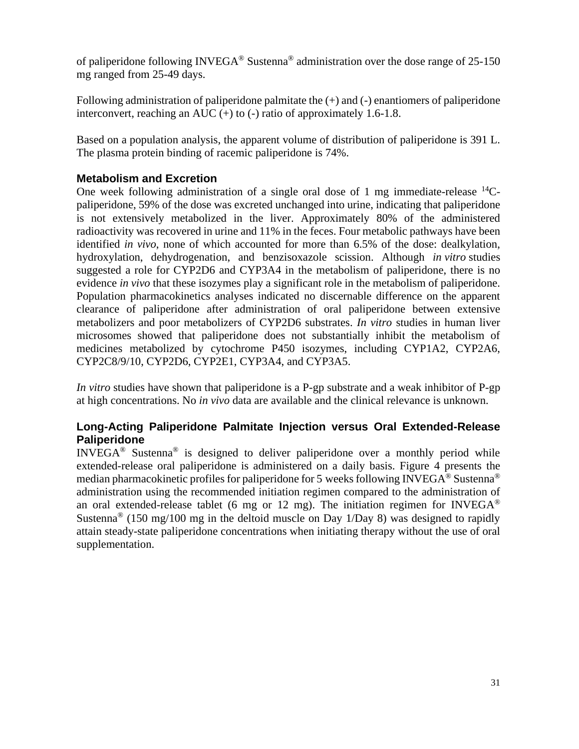of paliperidone following INVEGA® Sustenna® administration over the dose range of 25-150 mg ranged from 25-49 days.

Following administration of paliperidone palmitate the  $(+)$  and  $(-)$  enantiomers of paliperidone interconvert, reaching an AUC  $(+)$  to  $(-)$  ratio of approximately 1.6-1.8.

Based on a population analysis, the apparent volume of distribution of paliperidone is 391 L. The plasma protein binding of racemic paliperidone is 74%.

### **Metabolism and Excretion**

One week following administration of a single oral dose of 1 mg immediate-release  $^{14}C$ paliperidone, 59% of the dose was excreted unchanged into urine, indicating that paliperidone is not extensively metabolized in the liver. Approximately 80% of the administered radioactivity was recovered in urine and 11% in the feces. Four metabolic pathways have been identified *in vivo*, none of which accounted for more than 6.5% of the dose: dealkylation, hydroxylation, dehydrogenation, and benzisoxazole scission. Although *in vitro* studies suggested a role for CYP2D6 and CYP3A4 in the metabolism of paliperidone, there is no evidence *in vivo* that these isozymes play a significant role in the metabolism of paliperidone. Population pharmacokinetics analyses indicated no discernable difference on the apparent clearance of paliperidone after administration of oral paliperidone between extensive metabolizers and poor metabolizers of CYP2D6 substrates. *In vitro* studies in human liver microsomes showed that paliperidone does not substantially inhibit the metabolism of medicines metabolized by cytochrome P450 isozymes, including CYP1A2, CYP2A6, CYP2C8/9/10, CYP2D6, CYP2E1, CYP3A4, and CYP3A5.

*In vitro* studies have shown that paliperidone is a P-gp substrate and a weak inhibitor of P-gp at high concentrations. No *in vivo* data are available and the clinical relevance is unknown.

### **Long-Acting Paliperidone Palmitate Injection versus Oral Extended-Release Paliperidone**

INVEGA® Sustenna® is designed to deliver paliperidone over a monthly period while extended-release oral paliperidone is administered on a daily basis. Figure 4 presents the median pharmacokinetic profiles for paliperidone for 5 weeks following INVEGA® Sustenna® administration using the recommended initiation regimen compared to the administration of an oral extended-release tablet (6 mg or 12 mg). The initiation regimen for INVEGA<sup>®</sup> Sustenna<sup>®</sup> (150 mg/100 mg in the deltoid muscle on Day 1/Day 8) was designed to rapidly attain steady-state paliperidone concentrations when initiating therapy without the use of oral supplementation.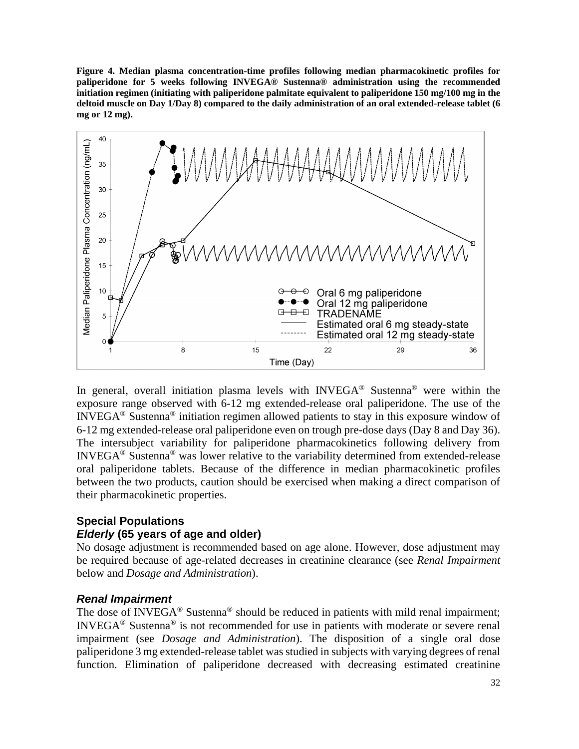**Figure 4. Median plasma concentration-time profiles following median pharmacokinetic profiles for paliperidone for 5 weeks following INVEGA® Sustenna® administration using the recommended initiation regimen (initiating with paliperidone palmitate equivalent to paliperidone 150 mg/100 mg in the deltoid muscle on Day 1/Day 8) compared to the daily administration of an oral extended-release tablet (6 mg or 12 mg).**



In general, overall initiation plasma levels with  $INVEGA^{\circledast}$  Sustenna<sup>®</sup> were within the exposure range observed with 6-12 mg extended-release oral paliperidone. The use of the INVEGA® Sustenna® initiation regimen allowed patients to stay in this exposure window of 6-12 mg extended-release oral paliperidone even on trough pre-dose days (Day 8 and Day 36). The intersubject variability for paliperidone pharmacokinetics following delivery from INVEGA® Sustenna® was lower relative to the variability determined from extended-release oral paliperidone tablets. Because of the difference in median pharmacokinetic profiles between the two products, caution should be exercised when making a direct comparison of their pharmacokinetic properties.

### **Special Populations** *Elderly* **(65 years of age and older)**

No dosage adjustment is recommended based on age alone. However, dose adjustment may be required because of age-related decreases in creatinine clearance (see *Renal Impairment* below and *Dosage and Administration*).

### *Renal Impairment*

The dose of INVEGA<sup>®</sup> Sustenna<sup>®</sup> should be reduced in patients with mild renal impairment; INVEGA® Sustenna® is not recommended for use in patients with moderate or severe renal impairment (see *Dosage and Administration*). The disposition of a single oral dose paliperidone 3 mg extended-release tablet was studied in subjects with varying degrees of renal function. Elimination of paliperidone decreased with decreasing estimated creatinine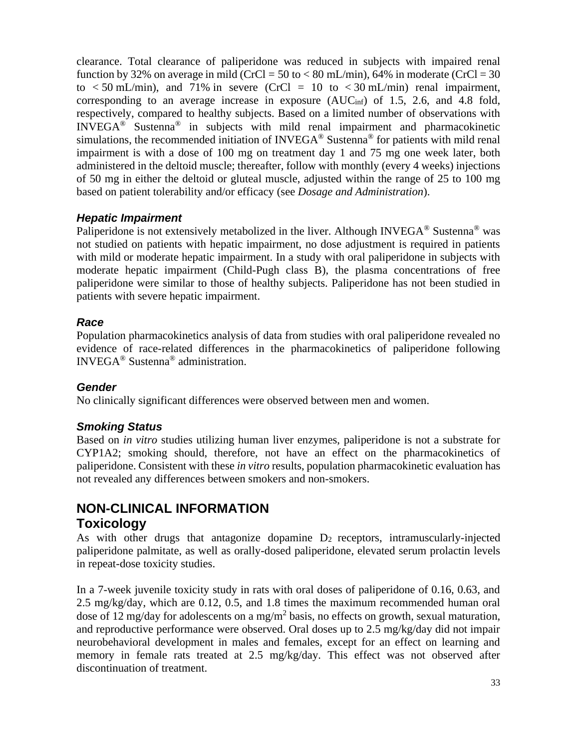clearance. Total clearance of paliperidone was reduced in subjects with impaired renal function by 32% on average in mild (CrCl = 50 to < 80 mL/min), 64% in moderate (CrCl = 30 to  $\lt 50$  mL/min), and 71% in severe (CrCl = 10 to  $\lt 30$  mL/min) renal impairment, corresponding to an average increase in exposure (AUCinf) of 1.5, 2.6, and 4.8 fold, respectively, compared to healthy subjects. Based on a limited number of observations with INVEGA® Sustenna® in subjects with mild renal impairment and pharmacokinetic simulations, the recommended initiation of INVEGA® Sustenna® for patients with mild renal impairment is with a dose of 100 mg on treatment day 1 and 75 mg one week later, both administered in the deltoid muscle; thereafter, follow with monthly (every 4 weeks) injections of 50 mg in either the deltoid or gluteal muscle, adjusted within the range of 25 to 100 mg based on patient tolerability and/or efficacy (see *Dosage and Administration*).

### *Hepatic Impairment*

Paliperidone is not extensively metabolized in the liver. Although INVEGA<sup>®</sup> Sustenna<sup>®</sup> was not studied on patients with hepatic impairment, no dose adjustment is required in patients with mild or moderate hepatic impairment. In a study with oral paliperidone in subjects with moderate hepatic impairment (Child-Pugh class B), the plasma concentrations of free paliperidone were similar to those of healthy subjects. Paliperidone has not been studied in patients with severe hepatic impairment.

### *Race*

Population pharmacokinetics analysis of data from studies with oral paliperidone revealed no evidence of race-related differences in the pharmacokinetics of paliperidone following INVEGA® Sustenna® administration.

### *Gender*

No clinically significant differences were observed between men and women.

### *Smoking Status*

Based on *in vitro* studies utilizing human liver enzymes, paliperidone is not a substrate for CYP1A2; smoking should, therefore, not have an effect on the pharmacokinetics of paliperidone. Consistent with these *in vitro* results, population pharmacokinetic evaluation has not revealed any differences between smokers and non-smokers.

## **NON-CLINICAL INFORMATION Toxicology**

As with other drugs that antagonize dopamine  $D_2$  receptors, intramuscularly-injected paliperidone palmitate, as well as orally-dosed paliperidone, elevated serum prolactin levels in repeat-dose toxicity studies.

In a 7-week juvenile toxicity study in rats with oral doses of paliperidone of 0.16, 0.63, and 2.5 mg/kg/day, which are 0.12, 0.5, and 1.8 times the maximum recommended human oral dose of 12 mg/day for adolescents on a mg/m<sup>2</sup> basis, no effects on growth, sexual maturation, and reproductive performance were observed. Oral doses up to 2.5 mg/kg/day did not impair neurobehavioral development in males and females, except for an effect on learning and memory in female rats treated at 2.5 mg/kg/day. This effect was not observed after discontinuation of treatment.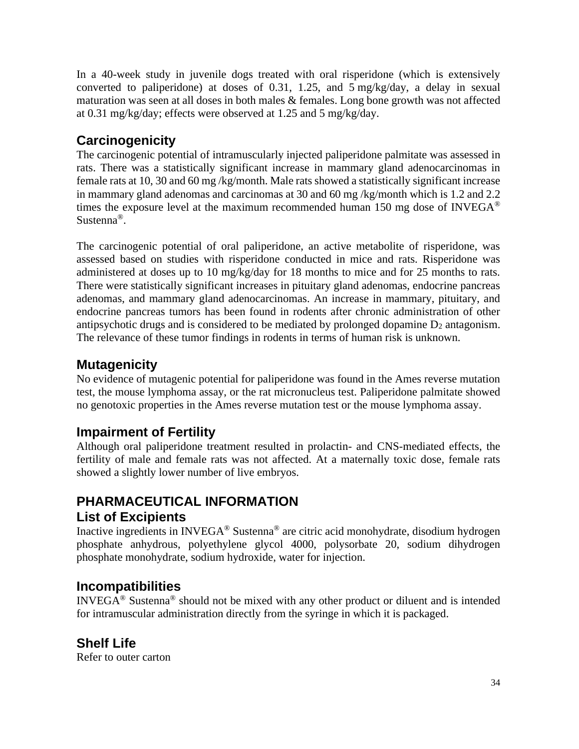In a 40-week study in juvenile dogs treated with oral risperidone (which is extensively converted to paliperidone) at doses of 0.31, 1.25, and 5 mg/kg/day, a delay in sexual maturation was seen at all doses in both males & females. Long bone growth was not affected at 0.31 mg/kg/day; effects were observed at 1.25 and 5 mg/kg/day.

# **Carcinogenicity**

The carcinogenic potential of intramuscularly injected paliperidone palmitate was assessed in rats. There was a statistically significant increase in mammary gland adenocarcinomas in female rats at 10, 30 and 60 mg /kg/month. Male rats showed a statistically significant increase in mammary gland adenomas and carcinomas at 30 and 60 mg /kg/month which is 1.2 and 2.2 times the exposure level at the maximum recommended human 150 mg dose of INVEGA<sup>®</sup> Sustenna®.

The carcinogenic potential of oral paliperidone, an active metabolite of risperidone, was assessed based on studies with risperidone conducted in mice and rats. Risperidone was administered at doses up to 10 mg/kg/day for 18 months to mice and for 25 months to rats. There were statistically significant increases in pituitary gland adenomas, endocrine pancreas adenomas, and mammary gland adenocarcinomas. An increase in mammary, pituitary, and endocrine pancreas tumors has been found in rodents after chronic administration of other antipsychotic drugs and is considered to be mediated by prolonged dopamine  $D_2$  antagonism. The relevance of these tumor findings in rodents in terms of human risk is unknown.

# **Mutagenicity**

No evidence of mutagenic potential for paliperidone was found in the Ames reverse mutation test, the mouse lymphoma assay, or the rat micronucleus test. Paliperidone palmitate showed no genotoxic properties in the Ames reverse mutation test or the mouse lymphoma assay.

# **Impairment of Fertility**

Although oral paliperidone treatment resulted in prolactin- and CNS-mediated effects, the fertility of male and female rats was not affected. At a maternally toxic dose, female rats showed a slightly lower number of live embryos.

# **PHARMACEUTICAL INFORMATION List of Excipients**

Inactive ingredients in INVEGA® Sustenna® are citric acid monohydrate, disodium hydrogen phosphate anhydrous, polyethylene glycol 4000, polysorbate 20, sodium dihydrogen phosphate monohydrate, sodium hydroxide, water for injection.

# **Incompatibilities**

INVEGA<sup>®</sup> Sustenna<sup>®</sup> should not be mixed with any other product or diluent and is intended for intramuscular administration directly from the syringe in which it is packaged.

# **Shelf Life**

Refer to outer carton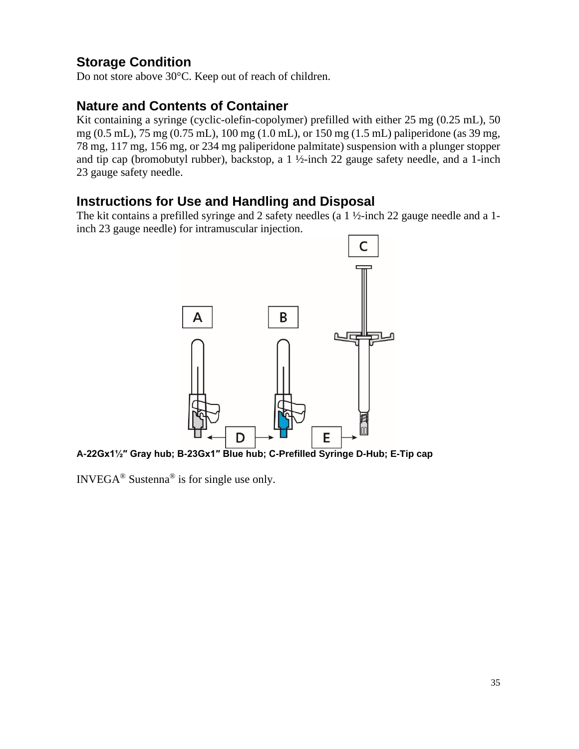# **Storage Condition**

Do not store above 30°C. Keep out of reach of children.

# **Nature and Contents of Container**

Kit containing a syringe (cyclic-olefin-copolymer) prefilled with either 25 mg (0.25 mL), 50 mg (0.5 mL), 75 mg (0.75 mL), 100 mg (1.0 mL), or 150 mg (1.5 mL) paliperidone (as 39 mg, 78 mg, 117 mg, 156 mg, or 234 mg paliperidone palmitate) suspension with a plunger stopper and tip cap (bromobutyl rubber), backstop, a 1 ½-inch 22 gauge safety needle, and a 1-inch 23 gauge safety needle.

## **Instructions for Use and Handling and Disposal**

The kit contains a prefilled syringe and 2 safety needles (a 1 ½-inch 22 gauge needle and a 1inch 23 gauge needle) for intramuscular injection.



**A-22Gx1½″ Gray hub; B-23Gx1″ Blue hub; C-Prefilled Syringe D-Hub; E-Tip cap**

INVEGA<sup>®</sup> Sustenna<sup>®</sup> is for single use only.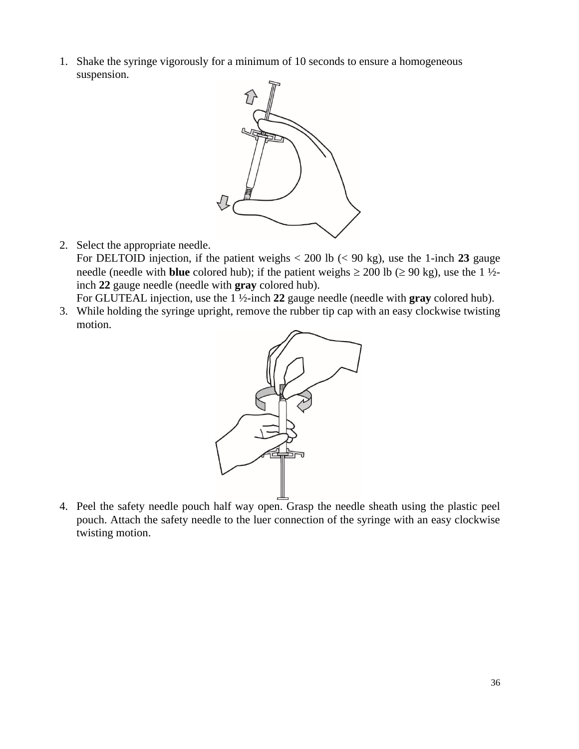1. Shake the syringe vigorously for a minimum of 10 seconds to ensure a homogeneous suspension.



2. Select the appropriate needle.

For DELTOID injection, if the patient weighs  $< 200$  lb  $(< 90$  kg), use the 1-inch 23 gauge needle (needle with **blue** colored hub); if the patient weighs  $\geq 200$  lb ( $\geq 90$  kg), use the 1  $\frac{1}{2}$ inch **22** gauge needle (needle with **gray** colored hub).

For GLUTEAL injection, use the 1 ½-inch **22** gauge needle (needle with **gray** colored hub).

3. While holding the syringe upright, remove the rubber tip cap with an easy clockwise twisting motion.



4. Peel the safety needle pouch half way open. Grasp the needle sheath using the plastic peel pouch. Attach the safety needle to the luer connection of the syringe with an easy clockwise twisting motion.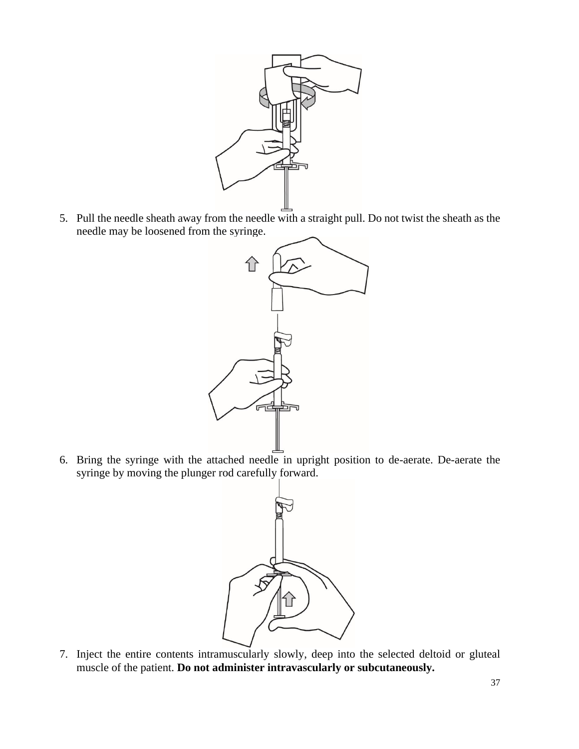

5. Pull the needle sheath away from the needle with a straight pull. Do not twist the sheath as the needle may be loosened from the syringe.



6. Bring the syringe with the attached needle in upright position to de-aerate. De-aerate the syringe by moving the plunger rod carefully forward.



7. Inject the entire contents intramuscularly slowly, deep into the selected deltoid or gluteal muscle of the patient. **Do not administer intravascularly or subcutaneously.**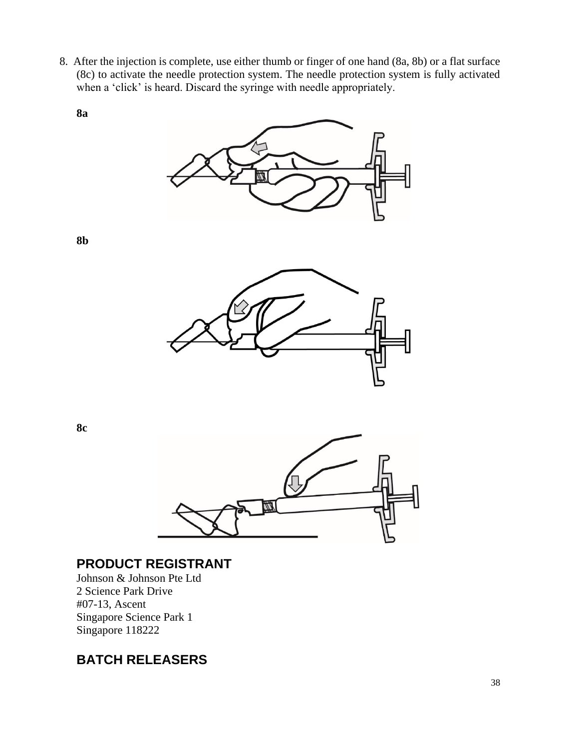- 8. After the injection is complete, use either thumb or finger of one hand (8a, 8b) or a flat surface (8c) to activate the needle protection system. The needle protection system is fully activated when a 'click' is heard. Discard the syringe with needle appropriately.
	-



**8a**



**8c**



## **PRODUCT REGISTRANT**

Johnson & Johnson Pte Ltd 2 Science Park Drive #07-13, Ascent Singapore Science Park 1 Singapore 118222

# **BATCH RELEASERS**